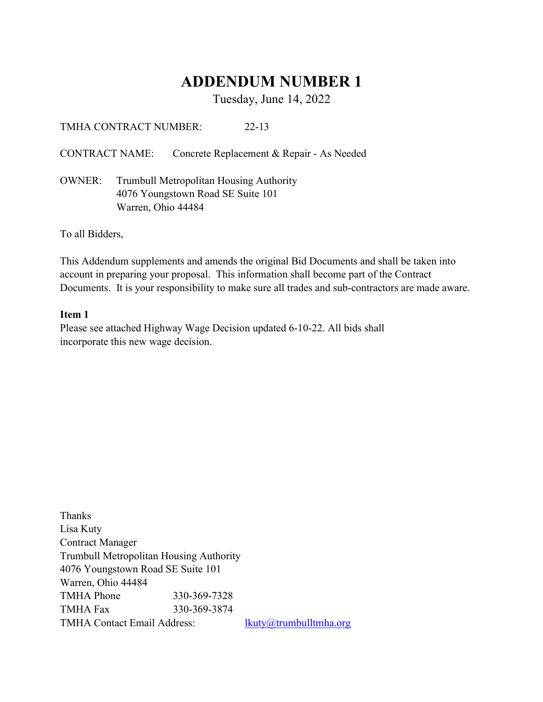# ADDENDUM NUMBER 1

Tuesday, June 14, 2022

TMHA CONTRACT NUMBER: 22-13

CONTRACT NAME: Concrete Replacement & Repair - As Needed

OWNER: Trumbull Metropolitan Housing Authority 4076 Youngstown Road SE Suite 101 Warren, Ohio 44484

To all Bidders,

This Addendum supplements and amends the original Bid Documents and shall be taken into account in preparing your proposal. This information shall become part of the Contract Documents. It is your responsibility to make sure all trades and sub-contractors are made aware.

## Item 1

Please see attached Highway Wage Decision updated 6-10-22. All bids shall incorporate this new wage decision.

Thanks Lisa Kuty Contract Manager Trumbull Metropolitan Housing Authority 4076 Youngstown Road SE Suite 101 Warren, Ohio 44484 TMHA Phone 330-369-7328 TMHA Fax 330-369-3874 TMHA Contact Email Address: lkuty@trumbulltmha.org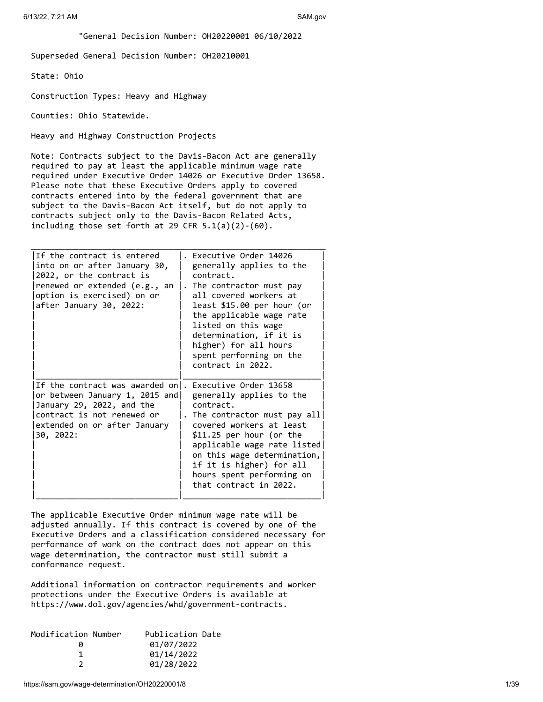"General Decision Number: OH20220001 06/10/2022

Superseded General Decision Number: OH20210001

State: Ohio

Construction Types: Heavy and Highway

Counties: Ohio Statewide.

Heavy and Highway Construction Projects

Note: Contracts subject to the Davis-Bacon Act are generally required to pay at least the applicable minimum wage rate required under Executive Order 14026 or Executive Order 13658. Please note that these Executive Orders apply to covered contracts entered into by the federal government that are subject to the Davis-Bacon Act itself, but do not apply to contracts subject only to the Davis-Bacon Related Acts, including those set forth at 29 CFR  $5.1(a)(2)-(60)$ .

| If the contract is entered<br>into on or after January 30,<br>2022, or the contract is<br>renewed or extended (e.g., an<br>option is exercised) on or<br>after January 30, 2022: | Executive Order 14026<br>generally applies to the<br>contract.<br>. The contractor must pay<br>all covered workers at<br>least \$15.00 per hour (or<br>the applicable wage rate<br>listed on this wage<br>determination, if it is<br>higher) for all hours<br>spent performing on the<br>contract in 2022. |
|----------------------------------------------------------------------------------------------------------------------------------------------------------------------------------|------------------------------------------------------------------------------------------------------------------------------------------------------------------------------------------------------------------------------------------------------------------------------------------------------------|
| If the contract was awarded on .<br>or between January 1, 2015 and<br>January 29, 2022, and the<br>contract is not renewed or<br>extended on or after January<br>30, 2022:       | Executive Order 13658<br>generally applies to the<br>contract.<br>. The contractor must pay all<br>covered workers at least<br>$$11.25$ per hour (or the<br>applicable wage rate listed<br>on this wage determination,<br>if it is higher) for all<br>hours spent performing on<br>that contract in 2022.  |

The applicable Executive Order minimum wage rate will be adjusted annually. If this contract is covered by one of the Executive Orders and a classification considered necessary for performance of work on the contract does not appear on this wage determination, the contractor must still submit a conformance request.

Additional information on contractor requirements and worker protections under the Executive Orders is available at https://www.dol.gov/agencies/whd/government-contracts.

| Modification Number | Publication Date |
|---------------------|------------------|
| n                   | 01/07/2022       |
|                     | 01/14/2022       |
|                     | 01/28/2022       |
|                     |                  |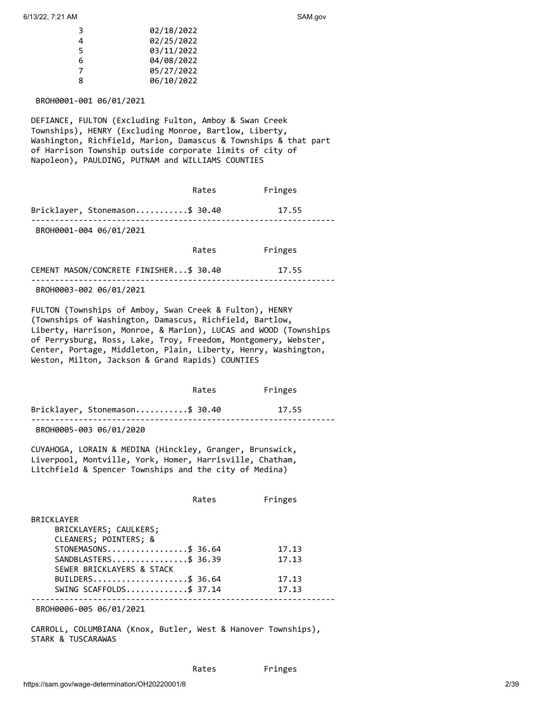| R  | 02/18/2022 |
|----|------------|
| Δ. | 02/25/2022 |
| 5  | 03/11/2022 |
| 6  | 04/08/2022 |
|    | 05/27/2022 |
| R  | 06/10/2022 |
|    |            |

BROH0001-001 06/01/2021

DEFIANCE, FULTON (Excluding Fulton, Amboy & Swan Creek Townships), HENRY (Excluding Monroe, Bartlow, Liberty, Washington, Richfield, Marion, Damascus & Townships & that part of Harrison Township outside corporate limits of city of Napoleon), PAULDING, PUTNAM and WILLIAMS COUNTIES

|                                         | Rates | Fringes |  |
|-----------------------------------------|-------|---------|--|
| Bricklayer, Stonemason\$ 30.40          |       | 17.55   |  |
| BROH0001-004 06/01/2021                 |       |         |  |
|                                         | Rates | Fringes |  |
| CEMENT MASON/CONCRETE FINISHER \$ 30.40 |       | 17.55   |  |
| BROH0003-002 06/01/2021                 |       |         |  |

FULTON (Townships of Amboy, Swan Creek & Fulton), HENRY (Townships of Washington, Damascus, Richfield, Bartlow, Liberty, Harrison, Monroe, & Marion), LUCAS and WOOD (Townships of Perrysburg, Ross, Lake, Troy, Freedom, Montgomery, Webster, Center, Portage, Middleton, Plain, Liberty, Henry, Washington, Weston, Milton, Jackson & Grand Rapids) COUNTIES

|                                      | Rates | Fringes |
|--------------------------------------|-------|---------|
| Bricklayer, Stonemason\$ 30.40       |       | 17.55   |
| $P = 2112227$ $2227$ $24124$ $12222$ |       |         |

BROH0005-003 06/01/2020

CUYAHOGA, LORAIN & MEDINA (Hinckley, Granger, Brunswick, Liverpool, Montville, York, Homer, Harrisville, Chatham, Litchfield & Spencer Townships and the city of Medina)

|                           | Rates | Fringes |
|---------------------------|-------|---------|
| BRICKLAYER                |       |         |
| BRICKLAYERS; CAULKERS;    |       |         |
| CLEANERS; POINTERS; &     |       |         |
| STONEMASONS\$ 36.64       |       | 17.13   |
| SANDBLASTERS\$ 36.39      |       | 17.13   |
| SEWER BRICKLAYERS & STACK |       |         |
| BUILDERS\$ 36.64          |       | 17.13   |
| SWING SCAFFOLDS\$ 37.14   |       | 17.13   |
|                           |       |         |

BROH0006-005 06/01/2021

CARROLL, COLUMBIANA (Knox, Butler, West & Hanover Townships), STARK & TUSCARAWAS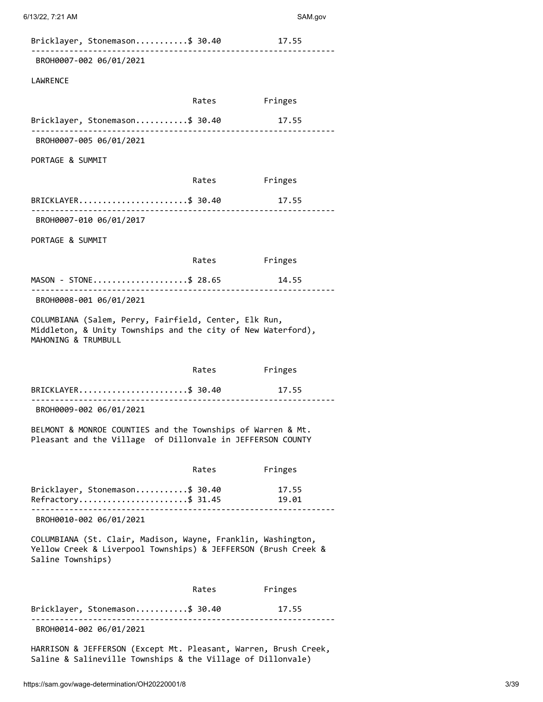| Bricklayer, Stonemason\$ 30.40                                                                                                                                                                                                                                                                                                                                                                                                                                                                                 |       | 17.55          |
|----------------------------------------------------------------------------------------------------------------------------------------------------------------------------------------------------------------------------------------------------------------------------------------------------------------------------------------------------------------------------------------------------------------------------------------------------------------------------------------------------------------|-------|----------------|
| BROH0007-002 06/01/2021                                                                                                                                                                                                                                                                                                                                                                                                                                                                                        |       |                |
| LAWRENCE                                                                                                                                                                                                                                                                                                                                                                                                                                                                                                       |       |                |
|                                                                                                                                                                                                                                                                                                                                                                                                                                                                                                                |       | Rates Fringes  |
| Bricklayer, Stonemason\$ 30.40                                                                                                                                                                                                                                                                                                                                                                                                                                                                                 |       | 17.55          |
| BROH0007-005 06/01/2021                                                                                                                                                                                                                                                                                                                                                                                                                                                                                        |       |                |
| PORTAGE & SUMMIT                                                                                                                                                                                                                                                                                                                                                                                                                                                                                               |       |                |
|                                                                                                                                                                                                                                                                                                                                                                                                                                                                                                                | Rates | Fringes        |
| BRICKLAYER\$ 30.40                                                                                                                                                                                                                                                                                                                                                                                                                                                                                             |       | 17.55          |
| BROH0007-010 06/01/2017                                                                                                                                                                                                                                                                                                                                                                                                                                                                                        |       |                |
| PORTAGE & SUMMIT                                                                                                                                                                                                                                                                                                                                                                                                                                                                                               |       |                |
|                                                                                                                                                                                                                                                                                                                                                                                                                                                                                                                |       | Rates Fringes  |
| MASON - STONE\$ 28.65                                                                                                                                                                                                                                                                                                                                                                                                                                                                                          |       | 14.55          |
| BROH0008-001 06/01/2021                                                                                                                                                                                                                                                                                                                                                                                                                                                                                        |       |                |
|                                                                                                                                                                                                                                                                                                                                                                                                                                                                                                                |       |                |
|                                                                                                                                                                                                                                                                                                                                                                                                                                                                                                                |       |                |
|                                                                                                                                                                                                                                                                                                                                                                                                                                                                                                                | Rates | Fringes        |
|                                                                                                                                                                                                                                                                                                                                                                                                                                                                                                                |       | 17.55          |
| BROH0009-002 06/01/2021                                                                                                                                                                                                                                                                                                                                                                                                                                                                                        |       |                |
|                                                                                                                                                                                                                                                                                                                                                                                                                                                                                                                |       |                |
|                                                                                                                                                                                                                                                                                                                                                                                                                                                                                                                | Rates | Fringes        |
|                                                                                                                                                                                                                                                                                                                                                                                                                                                                                                                |       | 17.55<br>19.01 |
| BROH0010-002 06/01/2021                                                                                                                                                                                                                                                                                                                                                                                                                                                                                        |       |                |
| COLUMBIANA (Salem, Perry, Fairfield, Center, Elk Run,<br>Middleton, & Unity Townships and the city of New Waterford),<br>MAHONING & TRUMBULL<br>BRICKLAYER\$ 30.40<br>BELMONT & MONROE COUNTIES and the Townships of Warren & Mt.<br>Pleasant and the Village of Dillonvale in JEFFERSON COUNTY<br>Bricklayer, Stonemason\$ 30.40<br>Refractory\$ 31.45<br>COLUMBIANA (St. Clair, Madison, Wayne, Franklin, Washington,<br>Yellow Creek & Liverpool Townships) & JEFFERSON (Brush Creek &<br>Saline Townships) |       |                |
|                                                                                                                                                                                                                                                                                                                                                                                                                                                                                                                | Rates | Fringes        |

Saline & Salineville Townships & the Village of Dillonvale)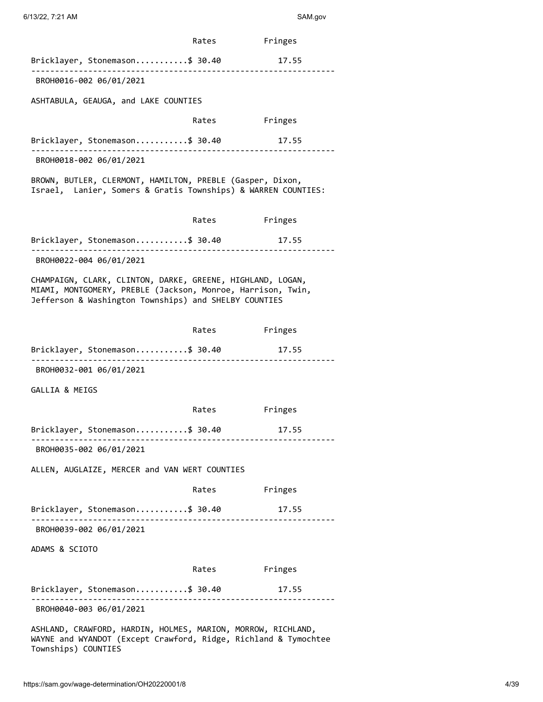|                                                                                                                                                                                    | Rates         | Fringes |  |
|------------------------------------------------------------------------------------------------------------------------------------------------------------------------------------|---------------|---------|--|
| Bricklayer, Stonemason\$ 30.40                                                                                                                                                     |               | 17.55   |  |
| BROH0016-002 06/01/2021                                                                                                                                                            |               |         |  |
| ASHTABULA, GEAUGA, and LAKE COUNTIES                                                                                                                                               |               |         |  |
|                                                                                                                                                                                    | Rates         | Fringes |  |
| Bricklayer, Stonemason\$ 30.40                                                                                                                                                     |               | 17.55   |  |
| BROH0018-002 06/01/2021                                                                                                                                                            |               |         |  |
| BROWN, BUTLER, CLERMONT, HAMILTON, PREBLE (Gasper, Dixon,<br>Israel, Lanier, Somers & Gratis Townships) & WARREN COUNTIES:                                                         |               |         |  |
|                                                                                                                                                                                    | Rates         | Fringes |  |
| Bricklayer, Stonemason\$ 30.40                                                                                                                                                     |               | 17.55   |  |
| BROH0022-004 06/01/2021                                                                                                                                                            |               |         |  |
| CHAMPAIGN, CLARK, CLINTON, DARKE, GREENE, HIGHLAND, LOGAN,<br>MIAMI, MONTGOMERY, PREBLE (Jackson, Monroe, Harrison, Twin,<br>Jefferson & Washington Townships) and SHELBY COUNTIES |               |         |  |
|                                                                                                                                                                                    | Rates         | Fringes |  |
| Bricklayer, Stonemason\$ 30.40                                                                                                                                                     |               | 17.55   |  |
| BROH0032-001 06/01/2021                                                                                                                                                            |               |         |  |
| GALLIA & MEIGS                                                                                                                                                                     |               |         |  |
|                                                                                                                                                                                    | Rates         | Fringes |  |
| Bricklayer, Stonemason\$ 30.40                                                                                                                                                     |               | 17.55   |  |
| BROH0035-002 06/01/2021                                                                                                                                                            |               |         |  |
| ALLEN, AUGLAIZE, MERCER and VAN WERT COUNTIES                                                                                                                                      |               |         |  |
|                                                                                                                                                                                    | Rates Fringes |         |  |
| Bricklayer, Stonemason\$ 30.40 17.55                                                                                                                                               |               |         |  |
| BROH0039-002 06/01/2021                                                                                                                                                            |               |         |  |
| ADAMS & SCIOTO                                                                                                                                                                     |               |         |  |
|                                                                                                                                                                                    | Rates Fringes |         |  |
| Bricklayer, Stonemason\$ 30.40                                                                                                                                                     |               | 17.55   |  |
| BROH0040-003 06/01/2021                                                                                                                                                            |               |         |  |
| ASHLAND, CRAWFORD, HARDIN, HOLMES, MARION, MORROW, RICHLAND,<br>WAYNE and WYANDOT (Except Crawford, Ridge, Richland & Tymochtee<br>Townships) COUNTIES                             |               |         |  |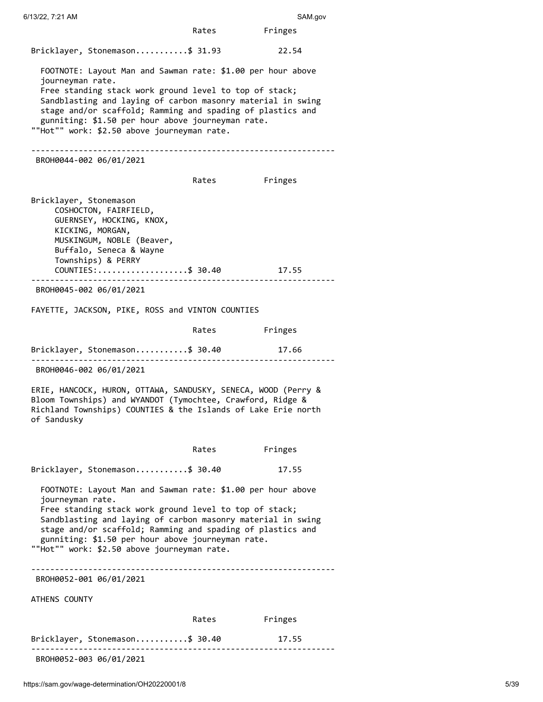Rates Fringes Bricklayer, Stonemason...........\$ 31.93 22.54 FOOTNOTE: Layout Man and Sawman rate: \$1.00 per hour above journeyman rate. Free standing stack work ground level to top of stack; Sandblasting and laying of carbon masonry material in swing stage and/or scaffold; Ramming and spading of plastics and gunniting: \$1.50 per hour above journeyman rate. ""Hot"" work: \$2.50 above journeyman rate. ---------------------------------------------------------------- BROH0044-002 06/01/2021 Rates Fringes Bricklayer, Stonemason COSHOCTON, FAIRFIELD, GUERNSEY, HOCKING, KNOX, KICKING, MORGAN, MUSKINGUM, NOBLE (Beaver, Buffalo, Seneca & Wayne Townships) & PERRY COUNTIES:...................\$ 30.40 17.55 ---------------------------------------------------------------- BROH0045-002 06/01/2021 FAYETTE, JACKSON, PIKE, ROSS and VINTON COUNTIES Rates Fringes Bricklayer, Stonemason...........\$ 30.40 17.66 ---------------------------------------------------------------- BROH0046-002 06/01/2021 ERIE, HANCOCK, HURON, OTTAWA, SANDUSKY, SENECA, WOOD (Perry & Bloom Townships) and WYANDOT (Tymochtee, Crawford, Ridge & Richland Townships) COUNTIES & the Islands of Lake Erie north of Sandusky Rates Fringes Bricklayer, Stonemason...........\$ 30.40 17.55 FOOTNOTE: Layout Man and Sawman rate: \$1.00 per hour above journeyman rate. Free standing stack work ground level to top of stack; Sandblasting and laying of carbon masonry material in swing stage and/or scaffold; Ramming and spading of plastics and gunniting: \$1.50 per hour above journeyman rate. ""Hot"" work: \$2.50 above journeyman rate. ---------------------------------------------------------------- BROH0052-001 06/01/2021 ATHENS COUNTY Rates Fringes Bricklayer, Stonemason...........\$ 30.40 17.55 ---------------------------------------------------------------- BROH0052-003 06/01/2021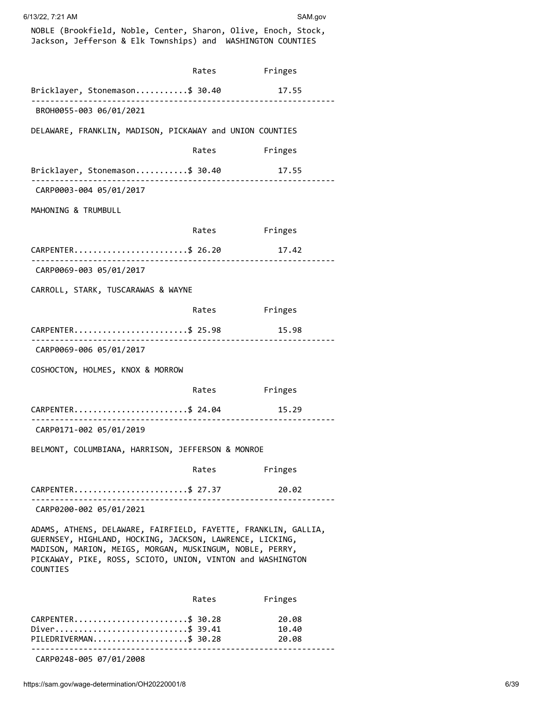| 6/13/22, 7:21 AM |  |
|------------------|--|
|                  |  |

SAM.gov

NOBLE (Brookfield, Noble, Center, Sharon, Olive, Enoch, Stock, Jackson, Jefferson & Elk Townships) and WASHINGTON COUNTIES

|                                                                                                                                                                                                                                                                  | Rates         | Fringes                 |  |
|------------------------------------------------------------------------------------------------------------------------------------------------------------------------------------------------------------------------------------------------------------------|---------------|-------------------------|--|
| Bricklayer, Stonemason\$ 30.40                                                                                                                                                                                                                                   |               | 17.55                   |  |
| BROH0055-003 06/01/2021                                                                                                                                                                                                                                          |               |                         |  |
| DELAWARE, FRANKLIN, MADISON, PICKAWAY and UNION COUNTIES                                                                                                                                                                                                         |               |                         |  |
|                                                                                                                                                                                                                                                                  | Rates         | Fringes                 |  |
| Bricklayer, Stonemason\$ 30.40                                                                                                                                                                                                                                   |               | 17.55                   |  |
| CARP0003-004 05/01/2017                                                                                                                                                                                                                                          |               |                         |  |
| MAHONING & TRUMBULL                                                                                                                                                                                                                                              |               |                         |  |
|                                                                                                                                                                                                                                                                  | Rates Fringes |                         |  |
| CARPENTER\$ 26.20                                                                                                                                                                                                                                                |               | 17.42                   |  |
| CARP0069-003 05/01/2017                                                                                                                                                                                                                                          |               |                         |  |
| CARROLL, STARK, TUSCARAWAS & WAYNE                                                                                                                                                                                                                               |               |                         |  |
|                                                                                                                                                                                                                                                                  | Rates         | Fringes                 |  |
| CARPENTER\$ 25.98                                                                                                                                                                                                                                                |               | 15.98                   |  |
| CARP0069-006 05/01/2017                                                                                                                                                                                                                                          |               |                         |  |
| COSHOCTON, HOLMES, KNOX & MORROW                                                                                                                                                                                                                                 |               |                         |  |
|                                                                                                                                                                                                                                                                  | Rates         | Fringes                 |  |
| CARPENTER\$ 24.04                                                                                                                                                                                                                                                |               | 15.29                   |  |
| CARP0171-002 05/01/2019                                                                                                                                                                                                                                          |               |                         |  |
| BELMONT, COLUMBIANA, HARRISON, JEFFERSON & MONROE                                                                                                                                                                                                                |               |                         |  |
|                                                                                                                                                                                                                                                                  | Rates         | Fringes                 |  |
| CARPENTER\$ 27.37                                                                                                                                                                                                                                                |               | 20.02                   |  |
| CARP0200-002 05/01/2021                                                                                                                                                                                                                                          |               |                         |  |
| ADAMS, ATHENS, DELAWARE, FAIRFIELD, FAYETTE, FRANKLIN, GALLIA,<br>GUERNSEY, HIGHLAND, HOCKING, JACKSON, LAWRENCE, LICKING,<br>MADISON, MARION, MEIGS, MORGAN, MUSKINGUM, NOBLE, PERRY,<br>PICKAWAY, PIKE, ROSS, SCIOTO, UNION, VINTON and WASHINGTON<br>COUNTIES |               |                         |  |
|                                                                                                                                                                                                                                                                  | Rates         | Fringes                 |  |
| CARPENTER\$ 30.28<br>Diver\$ 39.41<br>PILEDRIVERMAN\$ 30.28                                                                                                                                                                                                      |               | 20.08<br>10.40<br>20.08 |  |

CARP0248-005 07/01/2008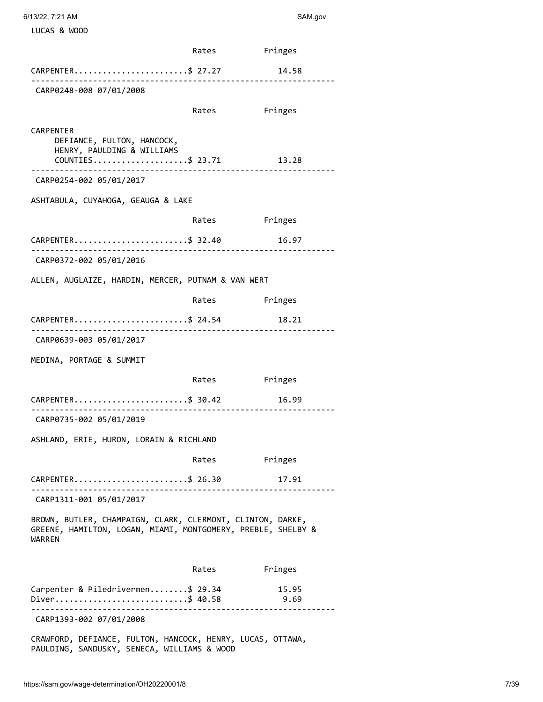| 6/13/22, 7:21 AM |  |
|------------------|--|
|                  |  |

LUCAS & WOOD

SAM.gov

|                                                                                                                                                | Rates Fringes |               |
|------------------------------------------------------------------------------------------------------------------------------------------------|---------------|---------------|
| CARPENTER\$ 27.27                                                                                                                              |               | 14.58         |
| __________________________<br>CARP0248-008 07/01/2008                                                                                          |               |               |
|                                                                                                                                                | Rates         | Fringes       |
|                                                                                                                                                |               |               |
| CARPENTER<br>DEFIANCE, FULTON, HANCOCK,<br>HENRY, PAULDING & WILLIAMS<br>$COUNTIES \ldots \ldots \ldots \ldots \ldots \ldots \text{\$ } 23.71$ |               | 13.28         |
| CARP0254-002 05/01/2017                                                                                                                        |               |               |
| ASHTABULA, CUYAHOGA, GEAUGA & LAKE                                                                                                             |               |               |
|                                                                                                                                                | Rates         | Fringes       |
| CARPENTER\$ 32.40                                                                                                                              |               | 16.97         |
| CARP0372-002 05/01/2016                                                                                                                        |               |               |
| ALLEN, AUGLAIZE, HARDIN, MERCER, PUTNAM & VAN WERT                                                                                             |               |               |
|                                                                                                                                                | Rates         | Fringes       |
| CARPENTER\$ 24.54                                                                                                                              |               | 18.21         |
| CARP0639-003 05/01/2017                                                                                                                        |               |               |
| MEDINA, PORTAGE & SUMMIT                                                                                                                       |               |               |
|                                                                                                                                                | Rates         | Fringes       |
| CARPENTER\$ 30.42                                                                                                                              |               | 16.99         |
| CARP0735-002 05/01/2019                                                                                                                        |               |               |
| ASHLAND, ERIE, HURON, LORAIN & RICHLAND                                                                                                        |               |               |
|                                                                                                                                                | Rates         | Fringes       |
| CARPENTER\$ 26.30                                                                                                                              |               | 17.91         |
| ---------------------------------<br>CARP1311-001 05/01/2017                                                                                   |               |               |
| BROWN, BUTLER, CHAMPAIGN, CLARK, CLERMONT, CLINTON, DARKE,<br>GREENE, HAMILTON, LOGAN, MIAMI, MONTGOMERY, PREBLE, SHELBY &<br>WARREN           |               |               |
|                                                                                                                                                | Rates         | Fringes       |
| Carpenter & Piledrivermen\$ 29.34<br>Diver\$ 40.58                                                                                             |               | 15.95<br>9.69 |
| CARP1393-002 07/01/2008                                                                                                                        |               |               |
| ON BEETANCE FULTON HANCOCK HENDY LUCAE OTTAILA                                                                                                 |               |               |

CRAWFORD, DEFIANCE, FULTON, HANCOCK, HENRY, LUCAS, OTTAWA, PAULDING, SANDUSKY, SENECA, WILLIAMS & WOOD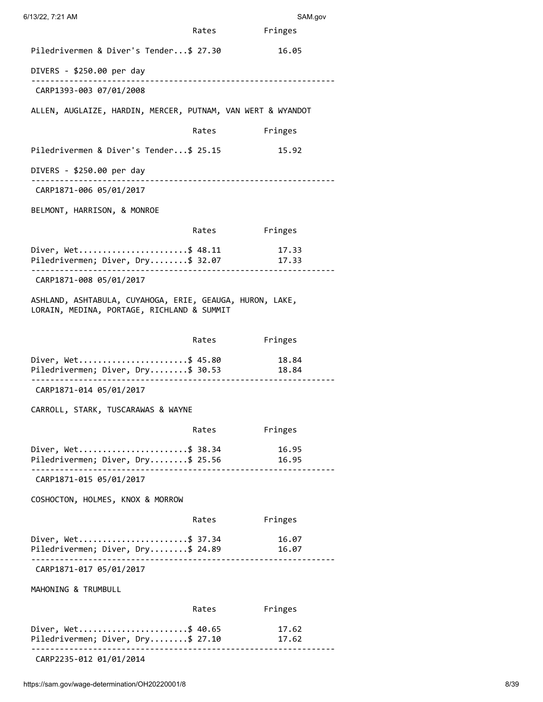| 6/13/22, 7:21 AM                                                                                       |       | SAM.gov        |
|--------------------------------------------------------------------------------------------------------|-------|----------------|
|                                                                                                        | Rates | Fringes        |
| Piledrivermen & Diver's Tender\$ 27.30                                                                 |       | 16.05          |
| DIVERS - \$250.00 per day                                                                              |       |                |
| CARP1393-003 07/01/2008                                                                                |       |                |
| ALLEN, AUGLAIZE, HARDIN, MERCER, PUTNAM, VAN WERT & WYANDOT                                            |       |                |
|                                                                                                        | Rates | Fringes        |
| Piledrivermen & Diver's Tender\$ 25.15                                                                 |       | 15.92          |
| DIVERS - \$250.00 per day                                                                              |       |                |
| CARP1871-006 05/01/2017                                                                                |       |                |
| BELMONT, HARRISON, & MONROE                                                                            |       |                |
|                                                                                                        | Rates | Fringes        |
| Diver, Wet\$ 48.11<br>Piledrivermen; Diver, Dry\$ 32.07 17.33                                          |       | 17.33          |
| CARP1871-008 05/01/2017                                                                                |       |                |
| ASHLAND, ASHTABULA, CUYAHOGA, ERIE, GEAUGA, HURON, LAKE,<br>LORAIN, MEDINA, PORTAGE, RICHLAND & SUMMIT |       |                |
|                                                                                                        | Rates | Fringes        |
| Diver, Wet\$ 45.80<br>Piledrivermen; Diver, Dry\$ 30.53                                                |       | 18.84<br>18.84 |
| CARP1871-014 05/01/2017                                                                                |       |                |
| CARROLL, STARK, TUSCARAWAS & WAYNE                                                                     |       |                |
|                                                                                                        | Rates | Fringes        |
| Diver, Wet\$ 38.34<br>Piledrivermen; Diver, Dry\$ 25.56<br>______________                              |       | 16.95<br>16.95 |
| CARP1871-015 05/01/2017                                                                                |       |                |
| COSHOCTON, HOLMES, KNOX & MORROW                                                                       |       |                |
|                                                                                                        | Rates | Fringes        |
| Diver, Wet\$ 37.34<br>Piledrivermen; Diver, Dry\$ 24.89                                                |       | 16.07<br>16.07 |
| CARP1871-017 05/01/2017                                                                                |       |                |
| MAHONING & TRUMBULL                                                                                    |       |                |
|                                                                                                        | Rates | Fringes        |
| Diver, Wet\$ 40.65<br>Piledrivermen; Diver, Dry\$ 27.10                                                |       | 17.62<br>17.62 |
| -------------------------------<br>CARP2235-012 01/01/2014                                             |       |                |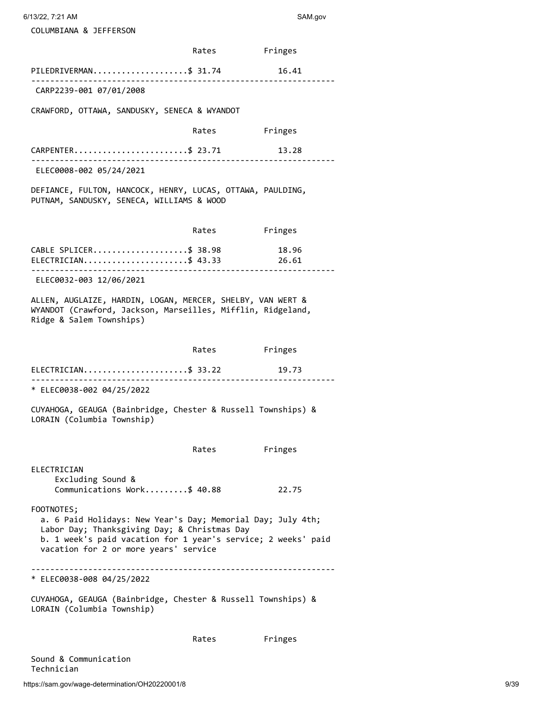6/13/22, 7:21 AM SAM.gov

COLUMBIANA & JEFFERSON

|                                                                                                                                                                                                                                     | Rates         | Fringes        |
|-------------------------------------------------------------------------------------------------------------------------------------------------------------------------------------------------------------------------------------|---------------|----------------|
| PILEDRIVERMAN\$ 31.74                                                                                                                                                                                                               |               | 16.41          |
| CARP2239-001 07/01/2008                                                                                                                                                                                                             |               |                |
| CRAWFORD, OTTAWA, SANDUSKY, SENECA & WYANDOT                                                                                                                                                                                        |               |                |
|                                                                                                                                                                                                                                     | Rates Fringes |                |
| CARPENTER\$ 23.71<br>_____________________________                                                                                                                                                                                  |               | 13.28          |
| ELEC0008-002 05/24/2021                                                                                                                                                                                                             |               |                |
| DEFIANCE, FULTON, HANCOCK, HENRY, LUCAS, OTTAWA, PAULDING,<br>PUTNAM, SANDUSKY, SENECA, WILLIAMS & WOOD                                                                                                                             |               |                |
|                                                                                                                                                                                                                                     | Rates         | Fringes        |
| CABLE SPLICER\$ 38.98<br>ELECTRICIAN\$ 43.33                                                                                                                                                                                        |               | 18.96<br>26.61 |
| ELEC0032-003 12/06/2021                                                                                                                                                                                                             |               |                |
| ALLEN, AUGLAIZE, HARDIN, LOGAN, MERCER, SHELBY, VAN WERT &<br>WYANDOT (Crawford, Jackson, Marseilles, Mifflin, Ridgeland,<br>Ridge & Salem Townships)                                                                               |               |                |
|                                                                                                                                                                                                                                     | Rates         | Fringes        |
| ELECTRICIAN\$ 33.22                                                                                                                                                                                                                 |               | 19.73          |
| * ELEC0038-002 04/25/2022                                                                                                                                                                                                           |               |                |
| CUYAHOGA, GEAUGA (Bainbridge, Chester & Russell Townships) &<br>LORAIN (Columbia Township)                                                                                                                                          |               |                |
|                                                                                                                                                                                                                                     | Rates         | Fringes        |
| ELECTRICIAN<br>Excluding Sound &<br>Communications Work\$ 40.88                                                                                                                                                                     |               | 22.75          |
| FOOTNOTES;<br>a. 6 Paid Holidays: New Year's Day; Memorial Day; July 4th;<br>Labor Day; Thanksgiving Day; & Christmas Day<br>b. 1 week's paid vacation for 1 year's service; 2 weeks' paid<br>vacation for 2 or more years' service |               |                |
| * ELEC0038-008 04/25/2022                                                                                                                                                                                                           |               |                |
| CUYAHOGA, GEAUGA (Bainbridge, Chester & Russell Townships) &<br>LORAIN (Columbia Township)                                                                                                                                          |               |                |
|                                                                                                                                                                                                                                     | Rates         | Fringes        |

Sound & Communication Technician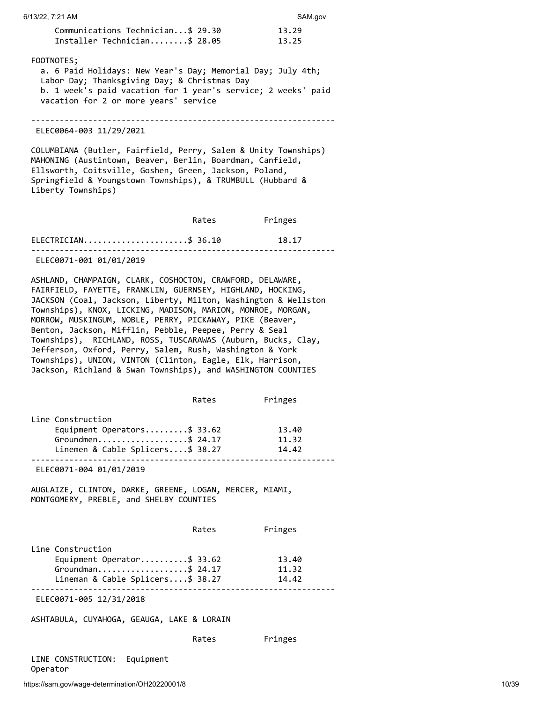| Installer Technician\$ 28.05                                                     |       | 13.25          |       |
|----------------------------------------------------------------------------------|-------|----------------|-------|
| FOOTNOTES;                                                                       |       |                |       |
| a. 6 Paid Holidays: New Year's Day; Memorial Day; July 4th;                      |       |                |       |
| Labor Day; Thanksgiving Day; & Christmas Day                                     |       |                |       |
| b. 1 week's paid vacation for 1 year's service; 2 weeks' paid                    |       |                |       |
| vacation for 2 or more years' service                                            |       |                |       |
|                                                                                  |       |                |       |
| ELEC0064-003 11/29/2021                                                          |       |                |       |
| COLUMBIANA (Butler, Fairfield, Perry, Salem & Unity Townships)                   |       |                |       |
| MAHONING (Austintown, Beaver, Berlin, Boardman, Canfield,                        |       |                |       |
| Ellsworth, Coitsville, Goshen, Green, Jackson, Poland,                           |       |                |       |
| Springfield & Youngstown Townships), & TRUMBULL (Hubbard &<br>Liberty Townships) |       |                |       |
|                                                                                  |       |                |       |
|                                                                                  | Rates | Fringes        |       |
| $ELECTRICIAN$ \$ 36.10                                                           |       | 18.17          |       |
|                                                                                  |       |                |       |
| ELEC0071-001 01/01/2019                                                          |       |                |       |
| ASHLAND, CHAMPAIGN, CLARK, COSHOCTON, CRAWFORD, DELAWARE,                        |       |                |       |
| FAIRFIELD, FAYETTE, FRANKLIN, GUERNSEY, HIGHLAND, HOCKING,                       |       |                |       |
| JACKSON (Coal, Jackson, Liberty, Milton, Washington & Wellston                   |       |                |       |
| Townships), KNOX, LICKING, MADISON, MARION, MONROE, MORGAN,                      |       |                |       |
| MORROW, MUSKINGUM, NOBLE, PERRY, PICKAWAY, PIKE (Beaver,                         |       |                |       |
| Benton, Jackson, Mifflin, Pebble, Peepee, Perry & Seal                           |       |                |       |
| Townships), RICHLAND, ROSS, TUSCARAWAS (Auburn, Bucks, Clay,                     |       |                |       |
| Jefferson, Oxford, Perry, Salem, Rush, Washington & York                         |       |                |       |
| Townships), UNION, VINTON (Clinton, Eagle, Elk, Harrison,                        |       |                |       |
| Jackson, Richland & Swan Townships), and WASHINGTON COUNTIES                     |       |                |       |
|                                                                                  | Rates | Fringes        |       |
|                                                                                  |       |                |       |
| Line Construction                                                                |       |                |       |
| Equipment Operators\$ 33.62                                                      |       | 13.40          |       |
| Groundmen\$ 24.17<br>Linemen & Cable Splicers\$ 38.27                            |       | 11.32<br>14.42 |       |
|                                                                                  |       |                |       |
| ELEC0071-004 01/01/2019                                                          |       |                |       |
| AUGLAIZE, CLINTON, DARKE, GREENE, LOGAN, MERCER, MIAMI,                          |       |                |       |
| MONTGOMERY, PREBLE, and SHELBY COUNTIES                                          |       |                |       |
|                                                                                  |       |                |       |
|                                                                                  | Rates | Fringes        |       |
| Line Construction                                                                |       |                |       |
| Equipment Operator\$ 33.62                                                       |       | 13.40          |       |
| Groundman\$ 24.17                                                                |       | 11.32          |       |
| Lineman & Cable Splicers\$ 38.27                                                 |       | 14.42          |       |
| ELEC0071-005 12/31/2018                                                          |       |                |       |
| ASHTABULA, CUYAHOGA, GEAUGA, LAKE & LORAIN                                       |       |                |       |
|                                                                                  | Rates | Fringes        |       |
|                                                                                  |       |                |       |
| LINE CONSTRUCTION:<br>Equipment<br>Operator                                      |       |                |       |
| https://sam.gov/wage-determination/OH20220001/8                                  |       |                | 10/39 |
|                                                                                  |       |                |       |

Communications Technician...\$ 29.30 13.29

## 6/13/22, 7:21 AM SAM.gov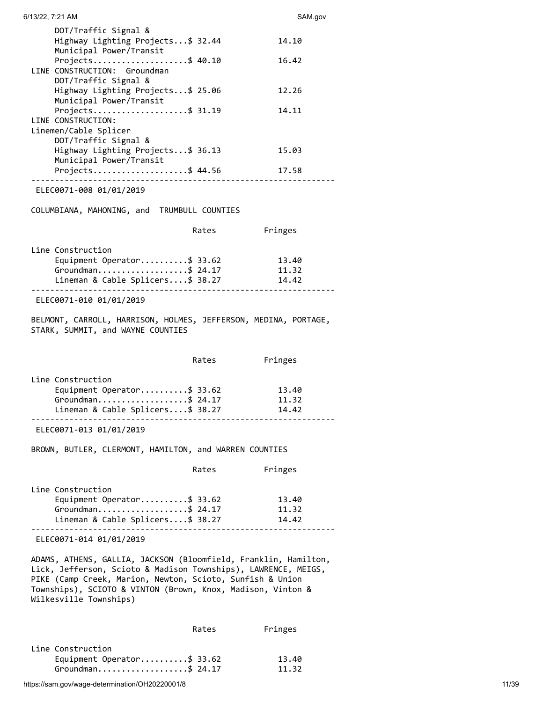| 6/13/22, 7:21 AM                                                                                                                                                                                                                                                                        |       | SAM.gov        |
|-----------------------------------------------------------------------------------------------------------------------------------------------------------------------------------------------------------------------------------------------------------------------------------------|-------|----------------|
| DOT/Traffic Signal &<br>Highway Lighting Projects\$ 32.44                                                                                                                                                                                                                               |       | 14.10          |
| Municipal Power/Transit<br>Projects\$ 40.10<br>LINE CONSTRUCTION: Groundman                                                                                                                                                                                                             |       | 16.42          |
| DOT/Traffic Signal &<br>Highway Lighting Projects\$ 25.06<br>Municipal Power/Transit                                                                                                                                                                                                    |       | 12.26          |
| Projects\$ 31.19<br>LINE CONSTRUCTION:                                                                                                                                                                                                                                                  |       | 14.11          |
| Linemen/Cable Splicer<br>DOT/Traffic Signal &<br>Highway Lighting Projects\$ 36.13                                                                                                                                                                                                      |       | 15.03          |
| Municipal Power/Transit<br>Projects\$ 44.56                                                                                                                                                                                                                                             |       | 17.58          |
| ELEC0071-008 01/01/2019                                                                                                                                                                                                                                                                 |       |                |
| COLUMBIANA, MAHONING, and TRUMBULL COUNTIES                                                                                                                                                                                                                                             |       |                |
|                                                                                                                                                                                                                                                                                         | Rates | Fringes        |
| Line Construction                                                                                                                                                                                                                                                                       |       |                |
| Equipment Operator\$ 33.62                                                                                                                                                                                                                                                              |       | 13.40          |
| Groundman\$ 24.17                                                                                                                                                                                                                                                                       |       | 11.32          |
| Lineman & Cable Splicers\$ 38.27                                                                                                                                                                                                                                                        |       | 14.42          |
| ELEC0071-010 01/01/2019                                                                                                                                                                                                                                                                 |       |                |
| BELMONT, CARROLL, HARRISON, HOLMES, JEFFERSON, MEDINA, PORTAGE,<br>STARK, SUMMIT, and WAYNE COUNTIES                                                                                                                                                                                    |       |                |
|                                                                                                                                                                                                                                                                                         | Rates | Fringes        |
| Line Construction                                                                                                                                                                                                                                                                       |       |                |
| Equipment Operator\$ 33.62                                                                                                                                                                                                                                                              |       | 13.40          |
| Groundman\$ 24.17<br>Lineman & Cable Splicers\$ 38.27                                                                                                                                                                                                                                   |       | 11.32<br>14.42 |
|                                                                                                                                                                                                                                                                                         |       |                |
| ELEC0071-013 01/01/2019                                                                                                                                                                                                                                                                 |       |                |
| BROWN, BUTLER, CLERMONT, HAMILTON, and WARREN COUNTIES                                                                                                                                                                                                                                  |       |                |
|                                                                                                                                                                                                                                                                                         | Rates | Fringes        |
| Line Construction                                                                                                                                                                                                                                                                       |       |                |
| Equipment Operator\$ 33.62                                                                                                                                                                                                                                                              |       | 13.40          |
| Groundman\$ 24.17                                                                                                                                                                                                                                                                       |       | 11.32<br>14.42 |
| Lineman & Cable Splicers\$ 38.27                                                                                                                                                                                                                                                        |       |                |
| ELEC0071-014 01/01/2019                                                                                                                                                                                                                                                                 |       |                |
| ADAMS, ATHENS, GALLIA, JACKSON (Bloomfield, Franklin, Hamilton,<br>Lick, Jefferson, Scioto & Madison Townships), LAWRENCE, MEIGS,<br>PIKE (Camp Creek, Marion, Newton, Scioto, Sunfish & Union<br>Townships), SCIOTO & VINTON (Brown, Knox, Madison, Vinton &<br>Wilkesville Townships) |       |                |

|                                                                      | Rates | Fringes        |
|----------------------------------------------------------------------|-------|----------------|
| Line Construction<br>Equipment Operator\$ 33.62<br>Groundman\$ 24.17 |       | 13.40<br>11.32 |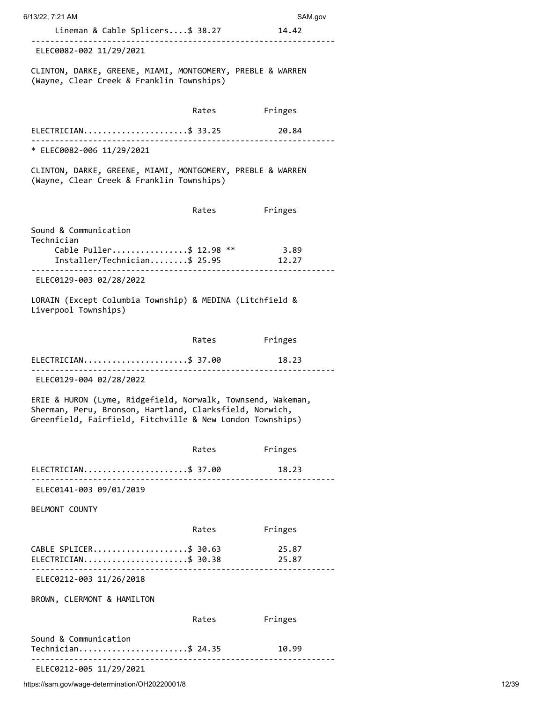| 6/13/22, 7:21 AM                                                                                                                                                                    |       | SAM.gov        |
|-------------------------------------------------------------------------------------------------------------------------------------------------------------------------------------|-------|----------------|
| Lineman & Cable Splicers\$ 38.27 14.42                                                                                                                                              |       |                |
| ELEC0082-002 11/29/2021                                                                                                                                                             |       |                |
| CLINTON, DARKE, GREENE, MIAMI, MONTGOMERY, PREBLE & WARREN<br>(Wayne, Clear Creek & Franklin Townships)                                                                             |       |                |
|                                                                                                                                                                                     |       | Rates Fringes  |
| ELECTRICIAN\$ 33.25                                                                                                                                                                 |       | 20.84          |
| * ELEC0082-006 11/29/2021                                                                                                                                                           |       |                |
| CLINTON, DARKE, GREENE, MIAMI, MONTGOMERY, PREBLE & WARREN<br>(Wayne, Clear Creek & Franklin Townships)                                                                             |       |                |
|                                                                                                                                                                                     | Rates | Fringes        |
| Sound & Communication<br>Technician                                                                                                                                                 |       |                |
| Cable Puller\$ 12.98 ** 3.89<br>Installer/Technician\$ 25.95                                                                                                                        |       | 12.27          |
| ELEC0129-003 02/28/2022                                                                                                                                                             |       |                |
| LORAIN (Except Columbia Township) & MEDINA (Litchfield &<br>Liverpool Townships)                                                                                                    |       |                |
|                                                                                                                                                                                     |       | Rates Fringes  |
| ELECTRICIAN\$ 37.00<br>. _ _ _ _ _ _ _ _ _ _ _ _ _ _ _ _ _ _                                                                                                                        |       | 18.23          |
| ELEC0129-004 02/28/2022                                                                                                                                                             |       |                |
| ERIE & HURON (Lyme, Ridgefield, Norwalk, Townsend, Wakeman,<br>Sherman, Peru, Bronson, Hartland, Clarksfield, Norwich,<br>Greenfield, Fairfield, Fitchville & New London Townships) |       |                |
|                                                                                                                                                                                     | Rates | Fringes        |
| ELECTRICIAN\$ 37.00                                                                                                                                                                 |       | 18.23          |
| ELEC0141-003 09/01/2019                                                                                                                                                             |       |                |
| BELMONT COUNTY                                                                                                                                                                      |       |                |
|                                                                                                                                                                                     | Rates | Fringes        |
| CABLE SPLICER\$ 30.63<br>ELECTRICIAN\$ 30.38                                                                                                                                        |       | 25.87<br>25.87 |
|                                                                                                                                                                                     |       |                |
|                                                                                                                                                                                     |       |                |
| ELEC0212-003 11/26/2018<br>BROWN, CLERMONT & HAMILTON                                                                                                                               |       |                |
|                                                                                                                                                                                     | Rates | Fringes        |
| Sound & Communication<br>Technician\$ 24.35                                                                                                                                         |       | 10.99          |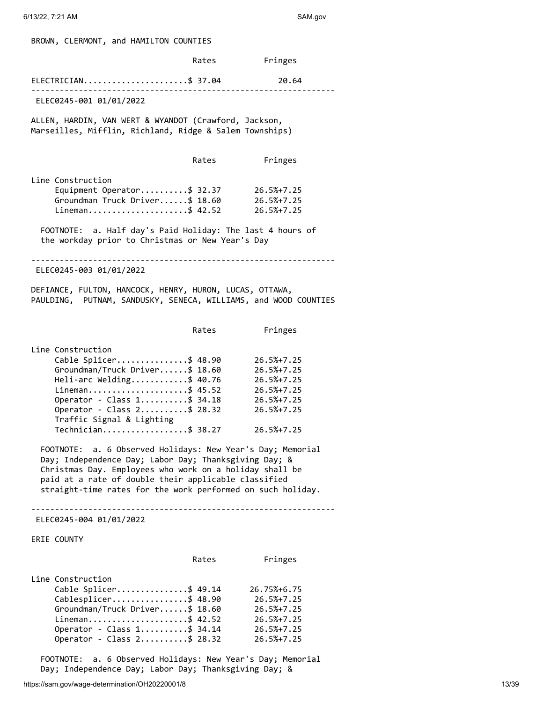BROWN, CLERMONT, and HAMILTON COUNTIES

|                                                                                                                                                                                                                                                                                                                                | Rates | Fringes                                                                                               |
|--------------------------------------------------------------------------------------------------------------------------------------------------------------------------------------------------------------------------------------------------------------------------------------------------------------------------------|-------|-------------------------------------------------------------------------------------------------------|
| ELECTRICIAN\$ 37.04                                                                                                                                                                                                                                                                                                            |       | 20.64                                                                                                 |
| ELEC0245-001 01/01/2022                                                                                                                                                                                                                                                                                                        |       |                                                                                                       |
| ALLEN, HARDIN, VAN WERT & WYANDOT (Crawford, Jackson,<br>Marseilles, Mifflin, Richland, Ridge & Salem Townships)                                                                                                                                                                                                               |       |                                                                                                       |
|                                                                                                                                                                                                                                                                                                                                | Rates | Fringes                                                                                               |
| Line Construction<br>Equipment Operator\$ 32.37 26.5%+7.25<br>Groundman Truck Driver\$ 18.60<br>Lineman\$ 42.52                                                                                                                                                                                                                |       | 26.5%+7.25<br>26.5%+7.25                                                                              |
| FOOTNOTE: a. Half day's Paid Holiday: The last 4 hours of<br>the workday prior to Christmas or New Year's Day                                                                                                                                                                                                                  |       |                                                                                                       |
| ELEC0245-003 01/01/2022                                                                                                                                                                                                                                                                                                        |       |                                                                                                       |
| DEFIANCE, FULTON, HANCOCK, HENRY, HURON, LUCAS, OTTAWA,<br>PAULDING, PUTNAM, SANDUSKY, SENECA, WILLIAMS, and WOOD COUNTIES                                                                                                                                                                                                     |       |                                                                                                       |
|                                                                                                                                                                                                                                                                                                                                | Rates | Fringes                                                                                               |
| Line Construction<br>Cable Splicer\$ 48.90<br>Groundman/Truck Driver\$ 18.60<br>Heli-arc Welding\$ 40.76<br>Lineman\$ 45.52<br>Operator - Class 1\$ 34.18 26.5%+7.25<br>Operator - Class 2\$ 28.32 26.5%+7.25<br>Traffic Signal & Lighting<br>Technician\$ 38.27<br>FOOTNOTE: a. 6 Observed Holidays: New Year's Day; Memorial |       | $26.5% + 7.25$<br>26.5%+7.25<br>26.5%+7.25<br>26.5%+7.25<br>$26.5% + 7.25$                            |
| Day; Independence Day; Labor Day; Thanksgiving Day; &<br>Christmas Day. Employees who work on a holiday shall be<br>paid at a rate of double their applicable classified<br>straight-time rates for the work performed on such holiday.                                                                                        |       |                                                                                                       |
| ELEC0245-004 01/01/2022                                                                                                                                                                                                                                                                                                        |       |                                                                                                       |
| <b>ERIE COUNTY</b>                                                                                                                                                                                                                                                                                                             |       |                                                                                                       |
|                                                                                                                                                                                                                                                                                                                                | Rates | Fringes                                                                                               |
| Line Construction<br>Cable Splicer\$ 49.14<br>Cablesplicer\$ 48.90<br>Groundman/Truck Driver\$ 18.60<br>Lineman\$ 42.52<br>Operator - Class 1\$ 34.14<br>Operator - Class 2\$ 28.32<br>FOOTNOTE: a. 6 Observed Holidays: New Year's Day; Memorial                                                                              |       | 26.75%+6.75<br>$26.5% + 7.25$<br>$26.5% + 7.25$<br>$26.5% + 7.25$<br>$26.5% + 7.25$<br>$26.5% + 7.25$ |

https://sam.gov/wage-determination/OH20220001/8 13/39

Day; Independence Day; Labor Day; Thanksgiving Day; &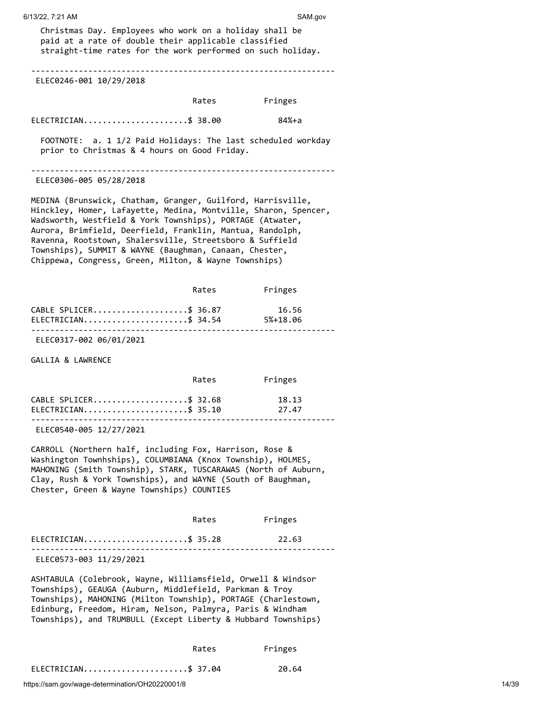| Christmas Day. Employees who work on a holiday shall be<br>paid at a rate of double their applicable classified<br>straight-time rates for the work performed on such holiday.                                                                                                                                                                                                                                                          |       |         |  |
|-----------------------------------------------------------------------------------------------------------------------------------------------------------------------------------------------------------------------------------------------------------------------------------------------------------------------------------------------------------------------------------------------------------------------------------------|-------|---------|--|
| ELEC0246-001 10/29/2018                                                                                                                                                                                                                                                                                                                                                                                                                 |       |         |  |
|                                                                                                                                                                                                                                                                                                                                                                                                                                         | Rates | Fringes |  |
| ELECTRICIAN\$ 38.00                                                                                                                                                                                                                                                                                                                                                                                                                     |       | 84%+a   |  |
| FOOTNOTE: a. 1 1/2 Paid Holidays: The last scheduled workday<br>prior to Christmas & 4 hours on Good Friday.                                                                                                                                                                                                                                                                                                                            |       |         |  |
| ELEC0306-005 05/28/2018                                                                                                                                                                                                                                                                                                                                                                                                                 |       |         |  |
| MEDINA (Brunswick, Chatham, Granger, Guilford, Harrisville,<br>Hinckley, Homer, Lafayette, Medina, Montville, Sharon, Spencer,<br>Wadsworth, Westfield & York Townships), PORTAGE (Atwater,<br>Aurora, Brimfield, Deerfield, Franklin, Mantua, Randolph,<br>Ravenna, Rootstown, Shalersville, Streetsboro & Suffield<br>Townships), SUMMIT & WAYNE (Baughman, Canaan, Chester,<br>Chippewa, Congress, Green, Milton, & Wayne Townships) |       |         |  |
|                                                                                                                                                                                                                                                                                                                                                                                                                                         | Rates | Fringes |  |
| CABLE SPLICER\$ 36.87<br>ELECTRICIAN\$ 34.54 5%+18.06<br>ELEC0317-002 06/01/2021                                                                                                                                                                                                                                                                                                                                                        |       | 16.56   |  |
| GALLIA & LAWRENCE                                                                                                                                                                                                                                                                                                                                                                                                                       |       |         |  |
|                                                                                                                                                                                                                                                                                                                                                                                                                                         | Rates | Fringes |  |
| CABLE SPLICER\$ 32.68                                                                                                                                                                                                                                                                                                                                                                                                                   |       | 18.13   |  |
| $ELECTRICIAN$ \$ 35.10<br>-------------------------------------<br>ELEC0540-005 12/27/2021                                                                                                                                                                                                                                                                                                                                              |       | 27.47   |  |
| CARROLL (Northern half, including Fox, Harrison, Rose &<br>Washington Townhships), COLUMBIANA (Knox Township), HOLMES,<br>MAHONING (Smith Township), STARK, TUSCARAWAS (North of Auburn,<br>Clay, Rush & York Townships), and WAYNE (South of Baughman,<br>Chester, Green & Wayne Townships) COUNTIES                                                                                                                                   |       |         |  |
|                                                                                                                                                                                                                                                                                                                                                                                                                                         | Rates | Fringes |  |
| ELECTRICIAN\$ 35.28                                                                                                                                                                                                                                                                                                                                                                                                                     |       | 22.63   |  |
| ELEC0573-003 11/29/2021                                                                                                                                                                                                                                                                                                                                                                                                                 |       |         |  |
| ASHTABULA (Colebrook, Wayne, Williamsfield, Orwell & Windsor<br>Townships), GEAUGA (Auburn, Middlefield, Parkman & Troy<br>Townships), MAHONING (Milton Township), PORTAGE (Charlestown,<br>Edinburg, Freedom, Hiram, Nelson, Palmyra, Paris & Windham<br>Townships), and TRUMBULL (Except Liberty & Hubbard Townships)                                                                                                                 |       |         |  |
|                                                                                                                                                                                                                                                                                                                                                                                                                                         | Rates | Fringes |  |
| ELECTRICIAN\$ 37.04                                                                                                                                                                                                                                                                                                                                                                                                                     |       | 20.64   |  |

6/13/22, 7:21 AM SAM.gov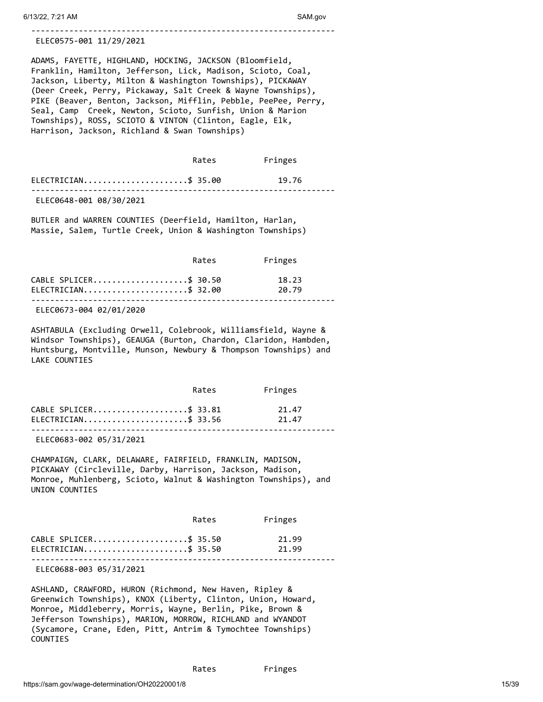#### ELEC0575-001 11/29/2021

ADAMS, FAYETTE, HIGHLAND, HOCKING, JACKSON (Bloomfield, Franklin, Hamilton, Jefferson, Lick, Madison, Scioto, Coal, Jackson, Liberty, Milton & Washington Townships), PICKAWAY (Deer Creek, Perry, Pickaway, Salt Creek & Wayne Townships), PIKE (Beaver, Benton, Jackson, Mifflin, Pebble, PeePee, Perry, Seal, Camp Creek, Newton, Scioto, Sunfish, Union & Marion Townships), ROSS, SCIOTO & VINTON (Clinton, Eagle, Elk, Harrison, Jackson, Richland & Swan Townships)

----------------------------------------------------------------

|                         | Rates | Fringes |  |
|-------------------------|-------|---------|--|
| $ELECTRICIAN$ \$ 35.00  |       | 19.76   |  |
| ELEC0648-001 08/30/2021 |       |         |  |

BUTLER and WARREN COUNTIES (Deerfield, Hamilton, Harlan, Massie, Salem, Turtle Creek, Union & Washington Townships)

|                                              | Rates | Fringes        |  |
|----------------------------------------------|-------|----------------|--|
| CABLE SPLICER\$ 30.50<br>ELECTRICIAN\$ 32.00 |       | 18.23<br>20.79 |  |
| $-1 - 222 - 222$                             |       |                |  |

ELEC0673-004 02/01/2020

ASHTABULA (Excluding Orwell, Colebrook, Williamsfield, Wayne & Windsor Townships), GEAUGA (Burton, Chardon, Claridon, Hambden, Huntsburg, Montville, Munson, Newbury & Thompson Townships) and LAKE COUNTIES

|                        | Rates | Fringes |  |
|------------------------|-------|---------|--|
| CABLE SPLICER\$ 33.81  |       | 21.47   |  |
| $ELECTRICIAN$ \$ 33.56 |       | 21.47   |  |
|                        |       |         |  |

ELEC0683-002 05/31/2021

CHAMPAIGN, CLARK, DELAWARE, FAIRFIELD, FRANKLIN, MADISON, PICKAWAY (Circleville, Darby, Harrison, Jackson, Madison, Monroe, Muhlenberg, Scioto, Walnut & Washington Townships), and UNION COUNTIES

|                        | Rates | Fringes |
|------------------------|-------|---------|
| CABLE SPLICER\$ 35.50  |       | 21.99   |
| $ELECTRICIAN$ \$ 35.50 |       | 21.99   |
|                        |       |         |

ELEC0688-003 05/31/2021

ASHLAND, CRAWFORD, HURON (Richmond, New Haven, Ripley & Greenwich Townships), KNOX (Liberty, Clinton, Union, Howard, Monroe, Middleberry, Morris, Wayne, Berlin, Pike, Brown & Jefferson Townships), MARION, MORROW, RICHLAND and WYANDOT (Sycamore, Crane, Eden, Pitt, Antrim & Tymochtee Townships) COUNTIES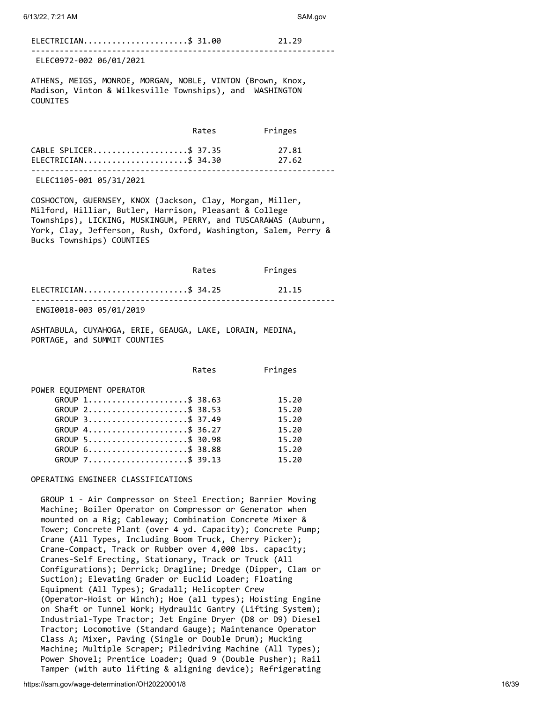### ELECTRICIAN.........................\$ 31.00 21.29

---------------------------------------------------------------- ELEC0972-002 06/01/2021

ATHENS, MEIGS, MONROE, MORGAN, NOBLE, VINTON (Brown, Knox, Madison, Vinton & Wilkesville Townships), and WASHINGTON COUNITES

|                            | Rates | Fringes |  |
|----------------------------|-------|---------|--|
| CABLE SPLICER\$ 37.35      |       | 27.81   |  |
| $ELECTRICIAN$ \$ 34.30     |       | 27.62   |  |
| F1 F2449F 224 25 124 12234 |       |         |  |

ELEC1105-001 05/31/2021

COSHOCTON, GUERNSEY, KNOX (Jackson, Clay, Morgan, Miller, Milford, Hilliar, Butler, Harrison, Pleasant & College Townships), LICKING, MUSKINGUM, PERRY, and TUSCARAWAS (Auburn, York, Clay, Jefferson, Rush, Oxford, Washington, Salem, Perry & Bucks Townships) COUNTIES

|                         | Rates | Fringes |  |
|-------------------------|-------|---------|--|
| ELECTRICIAN\$ 34.25     |       | 21.15   |  |
| ENGI0018-003 05/01/2019 |       |         |  |

ASHTABULA, CUYAHOGA, ERIE, GEAUGA, LAKE, LORAIN, MEDINA, PORTAGE, and SUMMIT COUNTIES

|                                                              | Rates | Fringes |
|--------------------------------------------------------------|-------|---------|
| POWER EQUIPMENT OPERATOR                                     |       |         |
| GROUP $1, \ldots, \ldots, \ldots, \ldots, \ldots, \pm 38.63$ |       | 15.20   |
| GROUP 2\$ 38.53                                              |       | 15.20   |
| GROUP 3\$ 37.49                                              |       | 15.20   |
| GROUP 4\$ 36.27                                              |       | 15.20   |
| GROUP 5\$ 30.98                                              |       | 15.20   |
| GROUP 6\$ 38.88                                              |       | 15.20   |
| GROUP 7\$ 39.13                                              |       | 15.20   |

## OPERATING ENGINEER CLASSIFICATIONS

 GROUP 1 - Air Compressor on Steel Erection; Barrier Moving Machine; Boiler Operator on Compressor or Generator when mounted on a Rig; Cableway; Combination Concrete Mixer & Tower; Concrete Plant (over 4 yd. Capacity); Concrete Pump; Crane (All Types, Including Boom Truck, Cherry Picker); Crane-Compact, Track or Rubber over 4,000 lbs. capacity; Cranes-Self Erecting, Stationary, Track or Truck (All Configurations); Derrick; Dragline; Dredge (Dipper, Clam or Suction); Elevating Grader or Euclid Loader; Floating Equipment (All Types); Gradall; Helicopter Crew (Operator-Hoist or Winch); Hoe (all types); Hoisting Engine on Shaft or Tunnel Work; Hydraulic Gantry (Lifting System); Industrial-Type Tractor; Jet Engine Dryer (D8 or D9) Diesel Tractor; Locomotive (Standard Gauge); Maintenance Operator Class A; Mixer, Paving (Single or Double Drum); Mucking Machine; Multiple Scraper; Piledriving Machine (All Types); Power Shovel; Prentice Loader; Quad 9 (Double Pusher); Rail Tamper (with auto lifting & aligning device); Refrigerating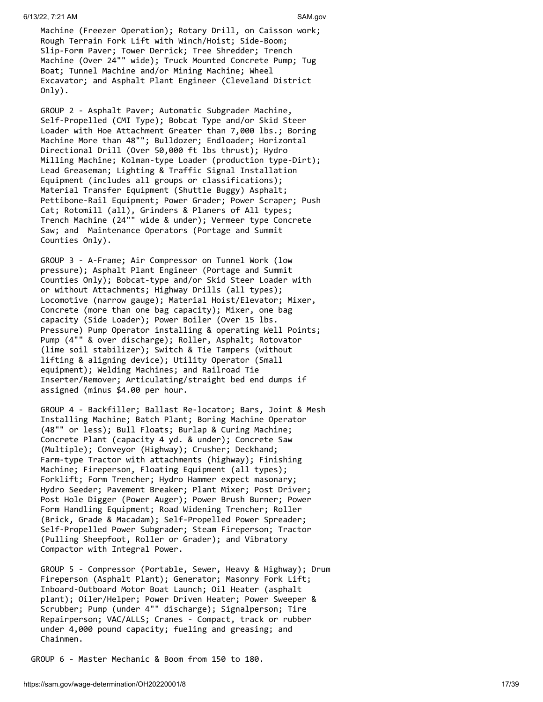Machine (Freezer Operation); Rotary Drill, on Caisson work; Rough Terrain Fork Lift with Winch/Hoist; Side-Boom; Slip-Form Paver; Tower Derrick; Tree Shredder; Trench Machine (Over 24"" wide); Truck Mounted Concrete Pump; Tug Boat; Tunnel Machine and/or Mining Machine; Wheel Excavator; and Asphalt Plant Engineer (Cleveland District Only).

 GROUP 2 - Asphalt Paver; Automatic Subgrader Machine, Self-Propelled (CMI Type); Bobcat Type and/or Skid Steer Loader with Hoe Attachment Greater than 7,000 lbs.; Boring Machine More than 48""; Bulldozer; Endloader; Horizontal Directional Drill (Over 50,000 ft lbs thrust); Hydro Milling Machine; Kolman-type Loader (production type-Dirt); Lead Greaseman; Lighting & Traffic Signal Installation Equipment (includes all groups or classifications); Material Transfer Equipment (Shuttle Buggy) Asphalt; Pettibone-Rail Equipment; Power Grader; Power Scraper; Push Cat; Rotomill (all), Grinders & Planers of All types; Trench Machine (24"" wide & under); Vermeer type Concrete Saw; and Maintenance Operators (Portage and Summit Counties Only).

 GROUP 3 - A-Frame; Air Compressor on Tunnel Work (low pressure); Asphalt Plant Engineer (Portage and Summit Counties Only); Bobcat-type and/or Skid Steer Loader with or without Attachments; Highway Drills (all types); Locomotive (narrow gauge); Material Hoist/Elevator; Mixer, Concrete (more than one bag capacity); Mixer, one bag capacity (Side Loader); Power Boiler (Over 15 lbs. Pressure) Pump Operator installing & operating Well Points; Pump (4"" & over discharge); Roller, Asphalt; Rotovator (lime soil stabilizer); Switch & Tie Tampers (without lifting & aligning device); Utility Operator (Small equipment); Welding Machines; and Railroad Tie Inserter/Remover; Articulating/straight bed end dumps if assigned (minus \$4.00 per hour.

 GROUP 4 - Backfiller; Ballast Re-locator; Bars, Joint & Mesh Installing Machine; Batch Plant; Boring Machine Operator (48"" or less); Bull Floats; Burlap & Curing Machine; Concrete Plant (capacity 4 yd. & under); Concrete Saw (Multiple); Conveyor (Highway); Crusher; Deckhand; Farm-type Tractor with attachments (highway); Finishing Machine; Fireperson, Floating Equipment (all types); Forklift; Form Trencher; Hydro Hammer expect masonary; Hydro Seeder; Pavement Breaker; Plant Mixer; Post Driver; Post Hole Digger (Power Auger); Power Brush Burner; Power Form Handling Equipment; Road Widening Trencher; Roller (Brick, Grade & Macadam); Self-Propelled Power Spreader; Self-Propelled Power Subgrader; Steam Fireperson; Tractor (Pulling Sheepfoot, Roller or Grader); and Vibratory Compactor with Integral Power.

 GROUP 5 - Compressor (Portable, Sewer, Heavy & Highway); Drum Fireperson (Asphalt Plant); Generator; Masonry Fork Lift; Inboard-Outboard Motor Boat Launch; Oil Heater (asphalt plant); Oiler/Helper; Power Driven Heater; Power Sweeper & Scrubber; Pump (under 4"" discharge); Signalperson; Tire Repairperson; VAC/ALLS; Cranes - Compact, track or rubber under 4,000 pound capacity; fueling and greasing; and Chainmen.

GROUP 6 - Master Mechanic & Boom from 150 to 180.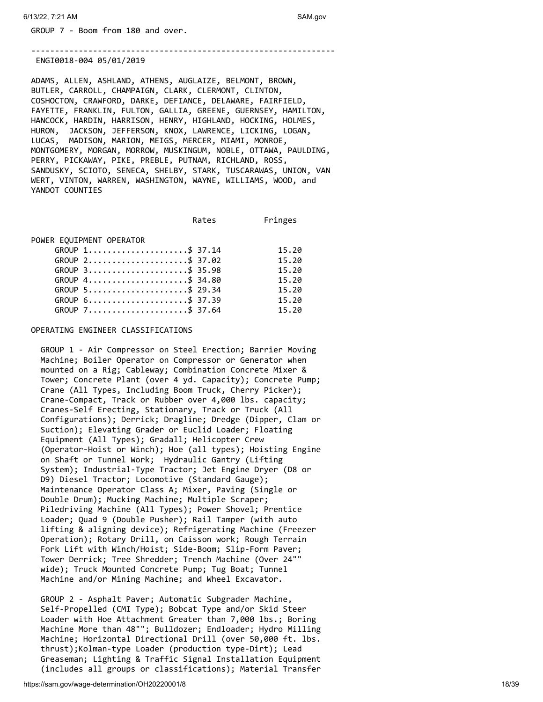GROUP 7 - Boom from 180 and over.

ENGI0018-004 05/01/2019

ADAMS, ALLEN, ASHLAND, ATHENS, AUGLAIZE, BELMONT, BROWN, BUTLER, CARROLL, CHAMPAIGN, CLARK, CLERMONT, CLINTON, COSHOCTON, CRAWFORD, DARKE, DEFIANCE, DELAWARE, FAIRFIELD, FAYETTE, FRANKLIN, FULTON, GALLIA, GREENE, GUERNSEY, HAMILTON, HANCOCK, HARDIN, HARRISON, HENRY, HIGHLAND, HOCKING, HOLMES, HURON, JACKSON, JEFFERSON, KNOX, LAWRENCE, LICKING, LOGAN, LUCAS, MADISON, MARION, MEIGS, MERCER, MIAMI, MONROE, MONTGOMERY, MORGAN, MORROW, MUSKINGUM, NOBLE, OTTAWA, PAULDING, PERRY, PICKAWAY, PIKE, PREBLE, PUTNAM, RICHLAND, ROSS, SANDUSKY, SCIOTO, SENECA, SHELBY, STARK, TUSCARAWAS, UNION, VAN WERT, VINTON, WARREN, WASHINGTON, WAYNE, WILLIAMS, WOOD, and YANDOT COUNTIES

----------------------------------------------------------------

Rates Fringes

POWER EQUIPMENT OPERATOR

| GROUP 1\$ 37.14 | 15.20 |
|-----------------|-------|
| GROUP 2\$ 37.02 | 15.20 |
| GROUP 3\$ 35.98 | 15.20 |
| GROUP 4\$ 34.80 | 15.20 |
| GROUP 5\$ 29.34 | 15.20 |
| GROUP 6\$ 37.39 | 15.20 |
| GROUP 7\$ 37.64 | 15.20 |

OPERATING ENGINEER CLASSIFICATIONS

 GROUP 1 - Air Compressor on Steel Erection; Barrier Moving Machine; Boiler Operator on Compressor or Generator when mounted on a Rig; Cableway; Combination Concrete Mixer & Tower; Concrete Plant (over 4 yd. Capacity); Concrete Pump; Crane (All Types, Including Boom Truck, Cherry Picker); Crane-Compact, Track or Rubber over 4,000 lbs. capacity; Cranes-Self Erecting, Stationary, Track or Truck (All Configurations); Derrick; Dragline; Dredge (Dipper, Clam or Suction); Elevating Grader or Euclid Loader; Floating Equipment (All Types); Gradall; Helicopter Crew (Operator-Hoist or Winch); Hoe (all types); Hoisting Engine on Shaft or Tunnel Work; Hydraulic Gantry (Lifting System); Industrial-Type Tractor; Jet Engine Dryer (D8 or D9) Diesel Tractor; Locomotive (Standard Gauge); Maintenance Operator Class A; Mixer, Paving (Single or Double Drum); Mucking Machine; Multiple Scraper; Piledriving Machine (All Types); Power Shovel; Prentice Loader; Quad 9 (Double Pusher); Rail Tamper (with auto lifting & aligning device); Refrigerating Machine (Freezer Operation); Rotary Drill, on Caisson work; Rough Terrain Fork Lift with Winch/Hoist; Side-Boom; Slip-Form Paver; Tower Derrick; Tree Shredder; Trench Machine (Over 24"" wide); Truck Mounted Concrete Pump; Tug Boat; Tunnel Machine and/or Mining Machine; and Wheel Excavator.

 GROUP 2 - Asphalt Paver; Automatic Subgrader Machine, Self-Propelled (CMI Type); Bobcat Type and/or Skid Steer Loader with Hoe Attachment Greater than 7,000 lbs.; Boring Machine More than 48""; Bulldozer; Endloader; Hydro Milling Machine; Horizontal Directional Drill (over 50,000 ft. lbs. thrust);Kolman-type Loader (production type-Dirt); Lead Greaseman; Lighting & Traffic Signal Installation Equipment (includes all groups or classifications); Material Transfer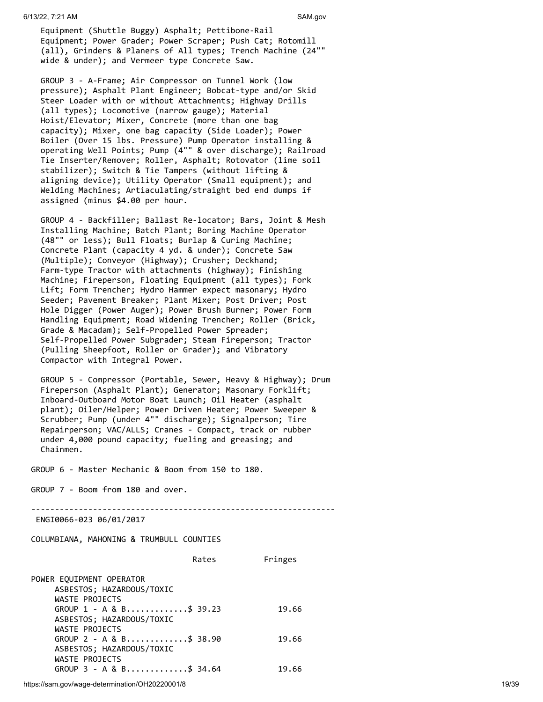Equipment (Shuttle Buggy) Asphalt; Pettibone-Rail Equipment; Power Grader; Power Scraper; Push Cat; Rotomill (all), Grinders & Planers of All types; Trench Machine (24"" wide & under); and Vermeer type Concrete Saw.

 GROUP 3 - A-Frame; Air Compressor on Tunnel Work (low pressure); Asphalt Plant Engineer; Bobcat-type and/or Skid Steer Loader with or without Attachments; Highway Drills (all types); Locomotive (narrow gauge); Material Hoist/Elevator; Mixer, Concrete (more than one bag capacity); Mixer, one bag capacity (Side Loader); Power Boiler (Over 15 lbs. Pressure) Pump Operator installing & operating Well Points; Pump (4"" & over discharge); Railroad Tie Inserter/Remover; Roller, Asphalt; Rotovator (lime soil stabilizer); Switch & Tie Tampers (without lifting & aligning device); Utility Operator (Small equipment); and Welding Machines; Artiaculating/straight bed end dumps if assigned (minus \$4.00 per hour.

 GROUP 4 - Backfiller; Ballast Re-locator; Bars, Joint & Mesh Installing Machine; Batch Plant; Boring Machine Operator (48"" or less); Bull Floats; Burlap & Curing Machine; Concrete Plant (capacity 4 yd. & under); Concrete Saw (Multiple); Conveyor (Highway); Crusher; Deckhand; Farm-type Tractor with attachments (highway); Finishing Machine; Fireperson, Floating Equipment (all types); Fork Lift; Form Trencher; Hydro Hammer expect masonary; Hydro Seeder; Pavement Breaker; Plant Mixer; Post Driver; Post Hole Digger (Power Auger); Power Brush Burner; Power Form Handling Equipment; Road Widening Trencher; Roller (Brick, Grade & Macadam); Self-Propelled Power Spreader; Self-Propelled Power Subgrader; Steam Fireperson; Tractor (Pulling Sheepfoot, Roller or Grader); and Vibratory Compactor with Integral Power.

 GROUP 5 - Compressor (Portable, Sewer, Heavy & Highway); Drum Fireperson (Asphalt Plant); Generator; Masonary Forklift; Inboard-Outboard Motor Boat Launch; Oil Heater (asphalt plant); Oiler/Helper; Power Driven Heater; Power Sweeper & Scrubber; Pump (under 4"" discharge); Signalperson; Tire Repairperson; VAC/ALLS; Cranes - Compact, track or rubber under 4,000 pound capacity; fueling and greasing; and Chainmen.

GROUP 6 - Master Mechanic & Boom from 150 to 180.

GROUP 7 - Boom from 180 and over.

----------------------------------------------------------------

ENGI0066-023 06/01/2017

COLUMBIANA, MAHONING & TRUMBULL COUNTIES

|                                                                         | Rates | Fringes |
|-------------------------------------------------------------------------|-------|---------|
| POWER EQUIPMENT OPERATOR<br>ASBESTOS; HAZARDOUS/TOXIC<br>WASTE PROJECTS |       |         |
| GROUP $1 - A & B$ \$ 39.23                                              |       | 19.66   |
| ASBESTOS; HAZARDOUS/TOXIC<br>WASTE PROJECTS                             |       |         |
| GROUP $2 - A & B$ \$ 38.90                                              |       | 19.66   |
| ASBESTOS; HAZARDOUS/TOXIC                                               |       |         |
| WASTE PROJECTS                                                          |       |         |
| GROUP 3 - A & B\$ 34.64                                                 |       | 19.66   |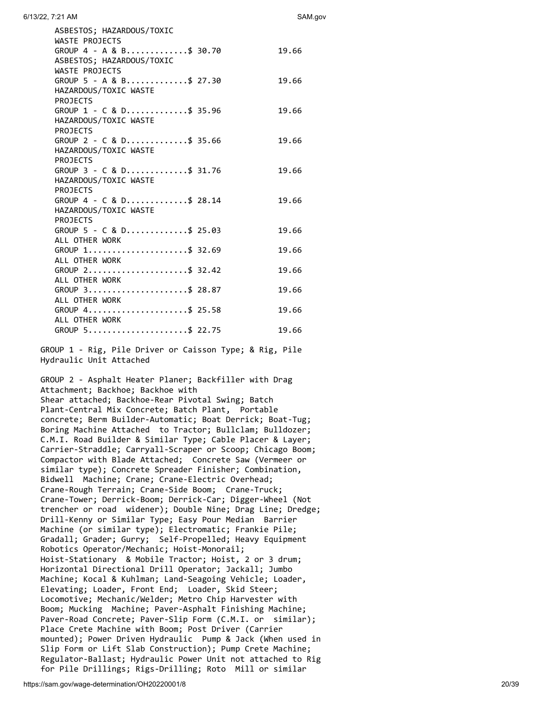| 6/13/22, 7:21 AM | SAM.gov |
|------------------|---------|
|                  |         |

| ASBESTOS; HAZARDOUS/TOXIC<br>WASTE PROJECTS<br>GROUP 4 - A & B\$ 30.70<br>ASBESTOS; HAZARDOUS/TOXIC | 19.66 |
|-----------------------------------------------------------------------------------------------------|-------|
| WASTE PROJECTS<br>GROUP 5 - A & B\$ 27.30<br>HAZARDOUS/TOXIC WASTE<br><b>PROJECTS</b>               | 19.66 |
| GROUP 1 - C & D\$ 35.96<br>HAZARDOUS/TOXIC WASTE<br><b>PROJECTS</b>                                 | 19.66 |
| GROUP 2 - C & D\$ 35.66<br>HAZARDOUS/TOXIC WASTE<br><b>PROJECTS</b>                                 | 19.66 |
| GROUP 3 - C & D\$ 31.76<br>HAZARDOUS/TOXIC WASTE<br><b>PROJECTS</b>                                 | 19.66 |
| GROUP 4 - C & D\$ 28.14<br>HAZARDOUS/TOXIC WASTE<br><b>PROJECTS</b>                                 | 19.66 |
| GROUP 5 - C & D\$ 25.03<br>ALL OTHER WORK                                                           | 19.66 |
| GROUP 1\$ 32.69<br>ALL OTHER WORK                                                                   | 19.66 |
| GROUP 2\$ 32.42<br>ALL OTHER WORK                                                                   | 19.66 |
| GROUP 3\$ 28.87<br>ALL OTHER WORK                                                                   | 19.66 |
| GROUP 4\$ 25.58<br>ALL OTHER WORK                                                                   | 19.66 |
| GROUP 5\$ 22.75                                                                                     | 19.66 |

 GROUP 1 - Rig, Pile Driver or Caisson Type; & Rig, Pile Hydraulic Unit Attached

 GROUP 2 - Asphalt Heater Planer; Backfiller with Drag Attachment; Backhoe; Backhoe with Shear attached; Backhoe-Rear Pivotal Swing; Batch Plant-Central Mix Concrete; Batch Plant, Portable concrete; Berm Builder-Automatic; Boat Derrick; Boat-Tug; Boring Machine Attached to Tractor; Bullclam; Bulldozer; C.M.I. Road Builder & Similar Type; Cable Placer & Layer; Carrier-Straddle; Carryall-Scraper or Scoop; Chicago Boom; Compactor with Blade Attached; Concrete Saw (Vermeer or similar type); Concrete Spreader Finisher; Combination, Bidwell Machine; Crane; Crane-Electric Overhead; Crane-Rough Terrain; Crane-Side Boom; Crane-Truck; Crane-Tower; Derrick-Boom; Derrick-Car; Digger-Wheel (Not trencher or road widener); Double Nine; Drag Line; Dredge; Drill-Kenny or Similar Type; Easy Pour Median Barrier Machine (or similar type); Electromatic; Frankie Pile; Gradall; Grader; Gurry; Self-Propelled; Heavy Equipment Robotics Operator/Mechanic; Hoist-Monorail; Hoist-Stationary & Mobile Tractor; Hoist, 2 or 3 drum; Horizontal Directional Drill Operator; Jackall; Jumbo Machine; Kocal & Kuhlman; Land-Seagoing Vehicle; Loader, Elevating; Loader, Front End; Loader, Skid Steer; Locomotive; Mechanic/Welder; Metro Chip Harvester with Boom; Mucking Machine; Paver-Asphalt Finishing Machine; Paver-Road Concrete; Paver-Slip Form (C.M.I. or similar); Place Crete Machine with Boom; Post Driver (Carrier mounted); Power Driven Hydraulic Pump & Jack (When used in Slip Form or Lift Slab Construction); Pump Crete Machine; Regulator-Ballast; Hydraulic Power Unit not attached to Rig for Pile Drillings; Rigs-Drilling; Roto Mill or similar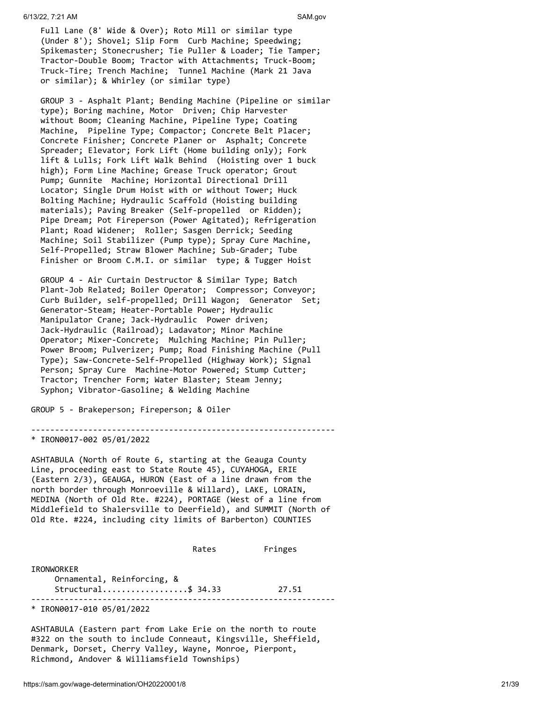Full Lane (8' Wide & Over); Roto Mill or similar type (Under 8'); Shovel; Slip Form Curb Machine; Speedwing; Spikemaster; Stonecrusher; Tie Puller & Loader; Tie Tamper; Tractor-Double Boom; Tractor with Attachments; Truck-Boom; Truck-Tire; Trench Machine; Tunnel Machine (Mark 21 Java or similar); & Whirley (or similar type)

 GROUP 3 - Asphalt Plant; Bending Machine (Pipeline or similar type); Boring machine, Motor Driven; Chip Harvester without Boom; Cleaning Machine, Pipeline Type; Coating Machine, Pipeline Type; Compactor; Concrete Belt Placer; Concrete Finisher; Concrete Planer or Asphalt; Concrete Spreader; Elevator; Fork Lift (Home building only); Fork lift & Lulls; Fork Lift Walk Behind (Hoisting over 1 buck high); Form Line Machine; Grease Truck operator; Grout Pump; Gunnite Machine; Horizontal Directional Drill Locator; Single Drum Hoist with or without Tower; Huck Bolting Machine; Hydraulic Scaffold (Hoisting building materials); Paving Breaker (Self-propelled or Ridden); Pipe Dream; Pot Fireperson (Power Agitated); Refrigeration Plant; Road Widener; Roller; Sasgen Derrick; Seeding Machine; Soil Stabilizer (Pump type); Spray Cure Machine, Self-Propelled; Straw Blower Machine; Sub-Grader; Tube Finisher or Broom C.M.I. or similar type; & Tugger Hoist

 GROUP 4 - Air Curtain Destructor & Similar Type; Batch Plant-Job Related; Boiler Operator; Compressor; Conveyor; Curb Builder, self-propelled; Drill Wagon; Generator Set; Generator-Steam; Heater-Portable Power; Hydraulic Manipulator Crane; Jack-Hydraulic Power driven; Jack-Hydraulic (Railroad); Ladavator; Minor Machine Operator; Mixer-Concrete; Mulching Machine; Pin Puller; Power Broom; Pulverizer; Pump; Road Finishing Machine (Pull Type); Saw-Concrete-Self-Propelled (Highway Work); Signal Person; Spray Cure Machine-Motor Powered; Stump Cutter; Tractor; Trencher Form; Water Blaster; Steam Jenny; Syphon; Vibrator-Gasoline; & Welding Machine

GROUP 5 - Brakeperson; Fireperson; & Oiler

----------------------------------------------------------------

## \* IRON0017-002 05/01/2022

ASHTABULA (North of Route 6, starting at the Geauga County Line, proceeding east to State Route 45), CUYAHOGA, ERIE (Eastern 2/3), GEAUGA, HURON (East of a line drawn from the north border through Monroeville & Willard), LAKE, LORAIN, MEDINA (North of Old Rte. #224), PORTAGE (West of a line from Middlefield to Shalersville to Deerfield), and SUMMIT (North of Old Rte. #224, including city limits of Barberton) COUNTIES

|                                          | Rates | Fringes |
|------------------------------------------|-------|---------|
| IRONWORKER<br>Ornamental, Reinforcing, & |       |         |
| Structural\$ 34.33                       |       | 27.51   |
| * IRON0017-010 05/01/2022                |       |         |

ASHTABULA (Eastern part from Lake Erie on the north to route #322 on the south to include Conneaut, Kingsville, Sheffield, Denmark, Dorset, Cherry Valley, Wayne, Monroe, Pierpont, Richmond, Andover & Williamsfield Townships)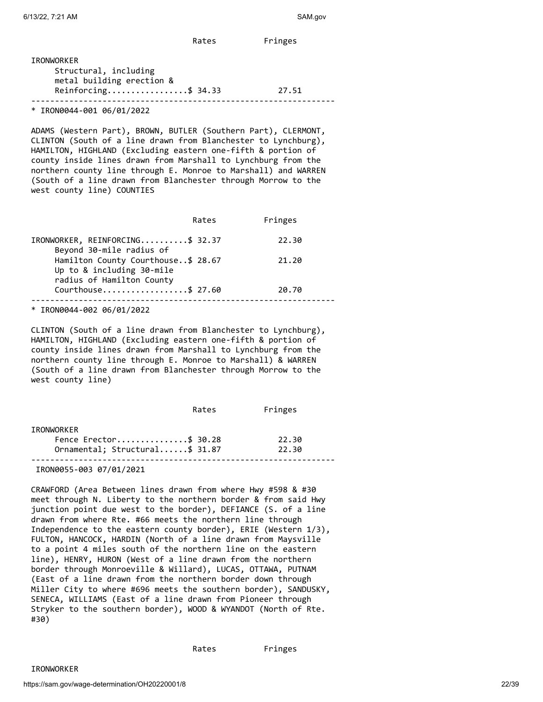Rates Fringes

| IRONWORKER                                         |       |
|----------------------------------------------------|-------|
| Structural, including<br>metal building erection & |       |
| Reinforcing\$ 34.33                                | 27.51 |
|                                                    |       |

\* IRON0044-001 06/01/2022

ADAMS (Western Part), BROWN, BUTLER (Southern Part), CLERMONT, CLINTON (South of a line drawn from Blanchester to Lynchburg), HAMILTON, HIGHLAND (Excluding eastern one-fifth & portion of county inside lines drawn from Marshall to Lynchburg from the northern county line through E. Monroe to Marshall) and WARREN (South of a line drawn from Blanchester through Morrow to the west county line) COUNTIES

|                                                                                              | Rates | Fringes |
|----------------------------------------------------------------------------------------------|-------|---------|
| IRONWORKER, REINFORCING\$ 32.37<br>Beyond 30-mile radius of                                  |       | 22.30   |
| Hamilton County Courthouse\$ 28.67<br>Up to & including 30-mile<br>radius of Hamilton County |       | 21.20   |
| Courthouse\$ 27.60                                                                           |       | 20.70   |
|                                                                                              |       |         |

\* IRON0044-002 06/01/2022

CLINTON (South of a line drawn from Blanchester to Lynchburg), HAMILTON, HIGHLAND (Excluding eastern one-fifth & portion of county inside lines drawn from Marshall to Lynchburg from the northern county line through E. Monroe to Marshall) & WARREN (South of a line drawn from Blanchester through Morrow to the west county line)

|                                | Rates | Fringes |
|--------------------------------|-------|---------|
| IRONWORKER                     |       |         |
| Fence Erector\$ 30.28          |       | 22.30   |
| Ornamental; Structural\$ 31.87 |       | 22.30   |
| IRON0055-003 07/01/2021        |       |         |

CRAWFORD (Area Between lines drawn from where Hwy #598 & #30 meet through N. Liberty to the northern border & from said Hwy junction point due west to the border), DEFIANCE (S. of a line drawn from where Rte. #66 meets the northern line through Independence to the eastern county border), ERIE (Western 1/3), FULTON, HANCOCK, HARDIN (North of a line drawn from Maysville to a point 4 miles south of the northern line on the eastern line), HENRY, HURON (West of a line drawn from the northern border through Monroeville & Willard), LUCAS, OTTAWA, PUTNAM (East of a line drawn from the northern border down through Miller City to where #696 meets the southern border), SANDUSKY, SENECA, WILLIAMS (East of a line drawn from Pioneer through Stryker to the southern border), WOOD & WYANDOT (North of Rte. #30)

IRONWORKER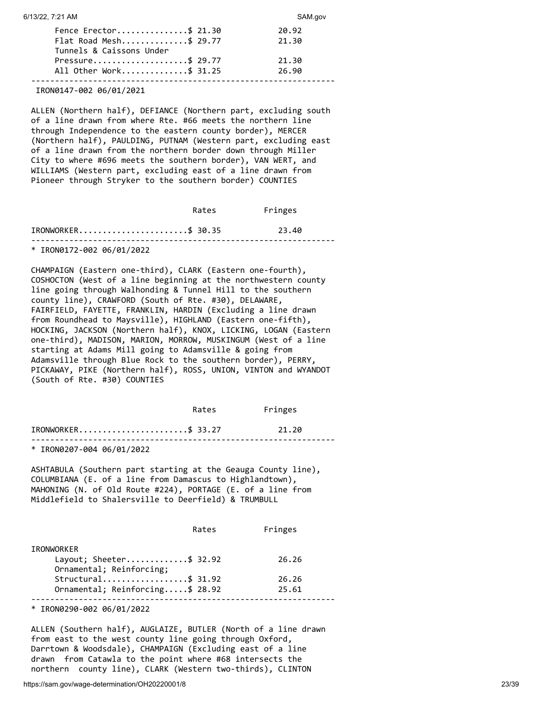| Fence Erector\$ 21.30    | 20.92 |
|--------------------------|-------|
| Flat Road Mesh\$ 29.77   | 21.30 |
| Tunnels & Caissons Under |       |
| Pressure\$ 29.77         | 21.30 |
| All Other Work\$ 31.25   | 26.90 |
|                          |       |

#### IRON0147-002 06/01/2021

ALLEN (Northern half), DEFIANCE (Northern part, excluding south of a line drawn from where Rte. #66 meets the northern line through Independence to the eastern county border), MERCER (Northern half), PAULDING, PUTNAM (Western part, excluding east of a line drawn from the northern border down through Miller City to where #696 meets the southern border), VAN WERT, and WILLIAMS (Western part, excluding east of a line drawn from Pioneer through Stryker to the southern border) COUNTIES

|                       | Rates | Fringes |  |
|-----------------------|-------|---------|--|
| $IRONWORKER$ \$ 30.35 |       | 23.40   |  |
|                       |       |         |  |

\* IRON0172-002 06/01/2022

CHAMPAIGN (Eastern one-third), CLARK (Eastern one-fourth), COSHOCTON (West of a line beginning at the northwestern county line going through Walhonding & Tunnel Hill to the southern county line), CRAWFORD (South of Rte. #30), DELAWARE, FAIRFIELD, FAYETTE, FRANKLIN, HARDIN (Excluding a line drawn from Roundhead to Maysville), HIGHLAND (Eastern one-fifth), HOCKING, JACKSON (Northern half), KNOX, LICKING, LOGAN (Eastern one-third), MADISON, MARION, MORROW, MUSKINGUM (West of a line starting at Adams Mill going to Adamsville & going from Adamsville through Blue Rock to the southern border), PERRY, PICKAWAY, PIKE (Northern half), ROSS, UNION, VINTON and WYANDOT (South of Rte. #30) COUNTIES

|                           | Rates | Fringes |  |
|---------------------------|-------|---------|--|
| $IRONWORKER$ \$ 33.27     |       | 21.20   |  |
| * IRON0207-004 06/01/2022 |       |         |  |

ASHTABULA (Southern part starting at the Geauga County line), COLUMBIANA (E. of a line from Damascus to Highlandtown), MAHONING (N. of Old Route #224), PORTAGE (E. of a line from Middlefield to Shalersville to Deerfield) & TRUMBULL

|                                 | Rates | Fringes |
|---------------------------------|-------|---------|
| <b>IRONWORKER</b>               |       |         |
| Layout; Sheeter\$ 32.92         |       | 26.26   |
| Ornamental; Reinforcing;        |       |         |
| Structural\$ 31.92              |       | 26.26   |
| Ornamental; Reinforcing\$ 28.92 |       | 25.61   |
|                                 |       |         |

\* IRON0290-002 06/01/2022

ALLEN (Southern half), AUGLAIZE, BUTLER (North of a line drawn from east to the west county line going through Oxford, Darrtown & Woodsdale), CHAMPAIGN (Excluding east of a line drawn from Catawla to the point where #68 intersects the northern county line), CLARK (Western two-thirds), CLINTON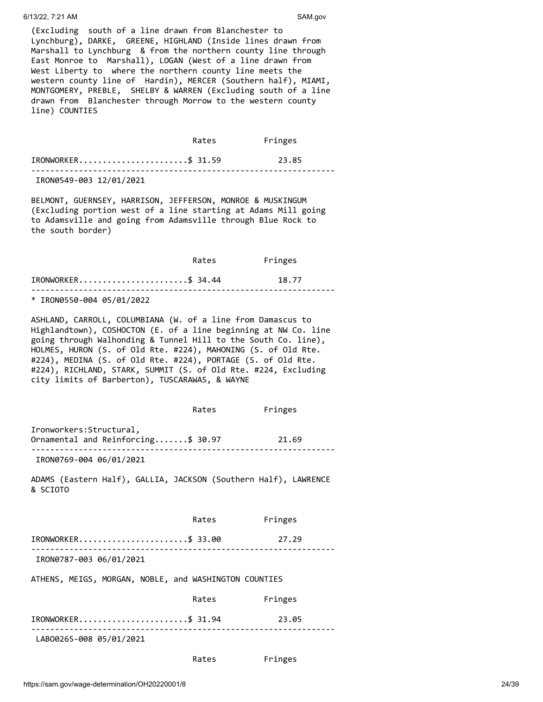#### 6/13/22, 7:21 AM SAM.gov

(Excluding south of a line drawn from Blanchester to Lynchburg), DARKE, GREENE, HIGHLAND (Inside lines drawn from Marshall to Lynchburg & from the northern county line through East Monroe to Marshall), LOGAN (West of a line drawn from West Liberty to where the northern county line meets the western county line of Hardin), MERCER (Southern half), MIAMI, MONTGOMERY, PREBLE, SHELBY & WARREN (Excluding south of a line drawn from Blanchester through Morrow to the western county line) COUNTIES

|                         | Rates | Fringes |  |
|-------------------------|-------|---------|--|
| IRONWORKER\$ 31.59      |       | 23.85   |  |
| IRON0549-003 12/01/2021 |       |         |  |

BELMONT, GUERNSEY, HARRISON, JEFFERSON, MONROE & MUSKINGUM (Excluding portion west of a line starting at Adams Mill going to Adamsville and going from Adamsville through Blue Rock to the south border)

|                       | Rates | Fringes |
|-----------------------|-------|---------|
| $IRONWORKER$ \$ 34.44 |       | 18.77   |
|                       |       |         |

\* IRON0550-004 05/01/2022

ASHLAND, CARROLL, COLUMBIANA (W. of a line from Damascus to Highlandtown), COSHOCTON (E. of a line beginning at NW Co. line going through Walhonding & Tunnel Hill to the South Co. line), HOLMES, HURON (S. of Old Rte. #224), MAHONING (S. of Old Rte. #224), MEDINA (S. of Old Rte. #224), PORTAGE (S. of Old Rte. #224), RICHLAND, STARK, SUMMIT (S. of Old Rte. #224, Excluding city limits of Barberton), TUSCARAWAS, & WAYNE

|                                                                             | Rates | Fringes |
|-----------------------------------------------------------------------------|-------|---------|
| Ironworkers: Structural,<br>Ornamental and Reinforcing\$ 30.97 21.69        |       |         |
| IRON0769-004 06/01/2021                                                     |       |         |
| ADAMS (Eastern Half), GALLIA, JACKSON (Southern Half), LAWRENCE<br>& SCIOTO |       |         |
|                                                                             | Rates | Fringes |
| IRONWORKER\$ 33.00 27.29                                                    |       |         |
| IRON0787-003 06/01/2021                                                     |       |         |
| ATHENS, MEIGS, MORGAN, NOBLE, and WASHINGTON COUNTIES                       |       |         |
|                                                                             | Rates | Fringes |
| IRONWORKER\$ 31.94                                                          |       | 23.05   |
| LAB00265-008 05/01/2021                                                     |       |         |

#### Rates Fringes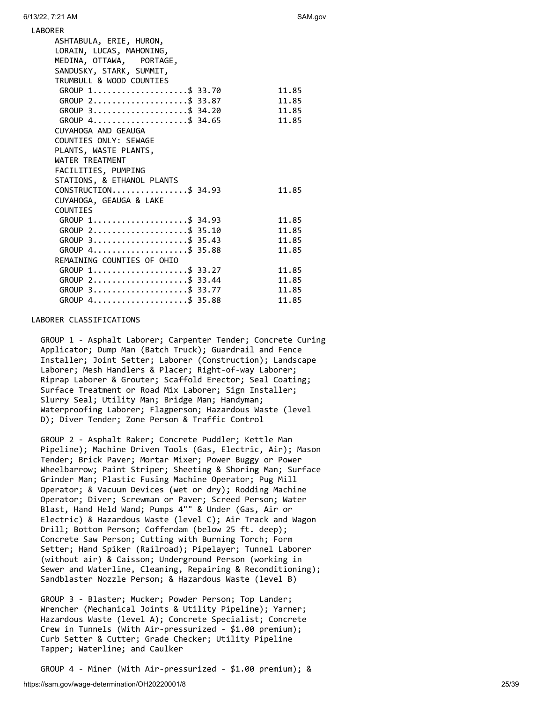| <b>LABORER</b>                                          |       |
|---------------------------------------------------------|-------|
| ASHTABULA, ERIE, HURON,                                 |       |
| LORAIN, LUCAS, MAHONING,                                |       |
| MEDINA, OTTAWA, PORTAGE,                                |       |
| SANDUSKY, STARK, SUMMIT,                                |       |
| TRUMBULL & WOOD COUNTIES                                |       |
| GROUP 1\$ 33.70                                         | 11.85 |
| GROUP 2\$ 33.87                                         | 11.85 |
| GROUP 3\$ 34.20                                         | 11.85 |
| GROUP 4\$ 34.65                                         | 11.85 |
| CUYAHOGA AND GEAUGA                                     |       |
| COUNTIES ONLY: SEWAGE                                   |       |
| PLANTS, WASTE PLANTS,                                   |       |
| WATER TREATMENT                                         |       |
| FACILITIES, PUMPING                                     |       |
| STATIONS, & ETHANOL PLANTS                              |       |
| $CONSTRUCTION \ldots \ldots \ldots \ldots \quad $34.93$ | 11.85 |
| CUYAHOGA, GEAUGA & LAKE                                 |       |
| <b>COUNTIES</b>                                         |       |
| GROUP 1\$ 34.93                                         | 11.85 |
| GROUP 2\$ 35.10                                         | 11.85 |
| $GROUP$ 3\$ 35.43                                       | 11.85 |
| GROUP 4\$ 35.88                                         | 11.85 |
| REMAINING COUNTIES OF OHIO                              |       |
| GROUP $1, \ldots, \ldots, \ldots, \ldots, \$$ 33.27     | 11.85 |
| GROUP 2\$ 33.44                                         | 11.85 |
| GROUP 3\$ 33.77                                         | 11.85 |
| GROUP 4\$ 35.88                                         | 11.85 |

#### LABORER CLASSIFICATIONS

 GROUP 1 - Asphalt Laborer; Carpenter Tender; Concrete Curing Applicator; Dump Man (Batch Truck); Guardrail and Fence Installer; Joint Setter; Laborer (Construction); Landscape Laborer; Mesh Handlers & Placer; Right-of-way Laborer; Riprap Laborer & Grouter; Scaffold Erector; Seal Coating; Surface Treatment or Road Mix Laborer; Sign Installer; Slurry Seal; Utility Man; Bridge Man; Handyman; Waterproofing Laborer; Flagperson; Hazardous Waste (level D); Diver Tender; Zone Person & Traffic Control

 GROUP 2 - Asphalt Raker; Concrete Puddler; Kettle Man Pipeline); Machine Driven Tools (Gas, Electric, Air); Mason Tender; Brick Paver; Mortar Mixer; Power Buggy or Power Wheelbarrow; Paint Striper; Sheeting & Shoring Man; Surface Grinder Man; Plastic Fusing Machine Operator; Pug Mill Operator; & Vacuum Devices (wet or dry); Rodding Machine Operator; Diver; Screwman or Paver; Screed Person; Water Blast, Hand Held Wand; Pumps 4"" & Under (Gas, Air or Electric) & Hazardous Waste (level C); Air Track and Wagon Drill; Bottom Person; Cofferdam (below 25 ft. deep); Concrete Saw Person; Cutting with Burning Torch; Form Setter; Hand Spiker (Railroad); Pipelayer; Tunnel Laborer (without air) & Caisson; Underground Person (working in Sewer and Waterline, Cleaning, Repairing & Reconditioning); Sandblaster Nozzle Person; & Hazardous Waste (level B)

 GROUP 3 - Blaster; Mucker; Powder Person; Top Lander; Wrencher (Mechanical Joints & Utility Pipeline); Yarner; Hazardous Waste (level A); Concrete Specialist; Concrete Crew in Tunnels (With Air-pressurized - \$1.00 premium); Curb Setter & Cutter; Grade Checker; Utility Pipeline Tapper; Waterline; and Caulker

GROUP 4 - Miner (With Air-pressurized - \$1.00 premium); &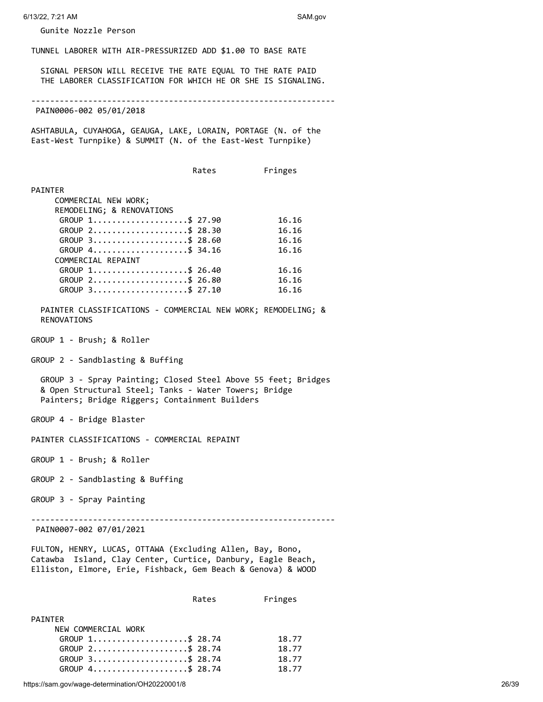Gunite Nozzle Person

TUNNEL LABORER WITH AIR-PRESSURIZED ADD \$1.00 TO BASE RATE

 SIGNAL PERSON WILL RECEIVE THE RATE EQUAL TO THE RATE PAID THE LABORER CLASSIFICATION FOR WHICH HE OR SHE IS SIGNALING.

----------------------------------------------------------------

PAIN0006-002 05/01/2018

ASHTABULA, CUYAHOGA, GEAUGA, LAKE, LORAIN, PORTAGE (N. of the East-West Turnpike) & SUMMIT (N. of the East-West Turnpike)

Rates Fringes

#### PAINTER

| COMMERCIAL NEW WORK;                                             |       |
|------------------------------------------------------------------|-------|
| REMODELING; & RENOVATIONS                                        |       |
| GROUP 1\$ 27.90                                                  | 16.16 |
| GROUP 2\$ 28.30                                                  | 16.16 |
| GROUP 3\$ 28.60                                                  | 16.16 |
| GROUP $4 \ldots \ldots \ldots \ldots \ldots \ldots \qquad 34.16$ | 16.16 |
| COMMERCIAL REPAINT                                               |       |
| GROUP 1\$ 26.40                                                  | 16.16 |
| GROUP 2\$ 26.80                                                  | 16.16 |
| GROUP 3\$ 27.10                                                  | 16.16 |

 PAINTER CLASSIFICATIONS - COMMERCIAL NEW WORK; REMODELING; & RENOVATIONS

GROUP 1 - Brush; & Roller

GROUP 2 - Sandblasting & Buffing

 GROUP 3 - Spray Painting; Closed Steel Above 55 feet; Bridges & Open Structural Steel; Tanks - Water Towers; Bridge Painters; Bridge Riggers; Containment Builders

GROUP 4 - Bridge Blaster

PAINTER CLASSIFICATIONS - COMMERCIAL REPAINT

GROUP 1 - Brush; & Roller

- GROUP 2 Sandblasting & Buffing
- GROUP 3 Spray Painting

----------------------------------------------------------------

PAIN0007-002 07/01/2021

FULTON, HENRY, LUCAS, OTTAWA (Excluding Allen, Bay, Bono, Catawba Island, Clay Center, Curtice, Danbury, Eagle Beach, Elliston, Elmore, Erie, Fishback, Gem Beach & Genova) & WOOD

| Rates | Fringes |
|-------|---------|
|       |         |

| PATNTFR             |       |
|---------------------|-------|
| NEW COMMERCIAL WORK |       |
| GROUP 1\$ 28.74     | 18.77 |
| GROUP 2\$ 28.74     | 18.77 |
| GROUP 3\$ 28.74     | 18.77 |
| GROUP 4\$ 28.74     | 18.77 |

https://sam.gov/wage-determination/OH20220001/8 26/39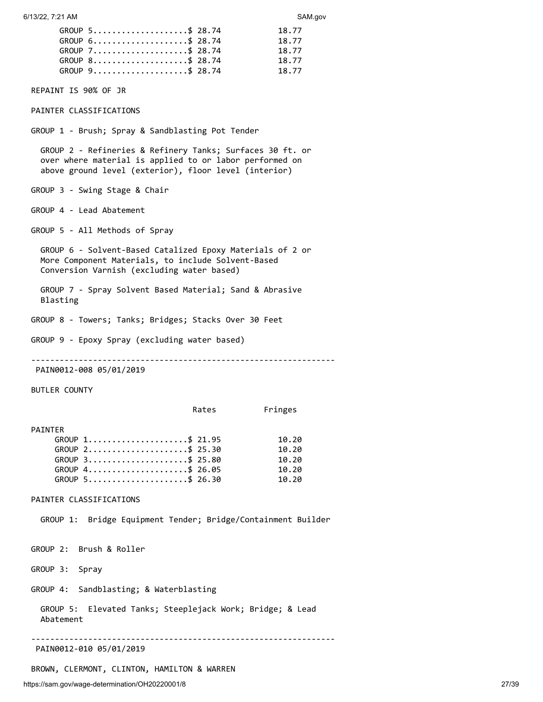| GROUP $5 \ldots \ldots \ldots \ldots \ldots \ldots \quad $28.74$ | 18.77 |
|------------------------------------------------------------------|-------|
| GROUP 6\$ 28.74                                                  | 18.77 |
| GROUP 7\$ 28.74                                                  | 18.77 |
| GROUP 8\$ 28.74                                                  | 18.77 |
| GROUP 9\$ 28.74                                                  | 18.77 |

REPAINT IS 90% OF JR

PAINTER CLASSIFICATIONS

GROUP 1 - Brush; Spray & Sandblasting Pot Tender

 GROUP 2 - Refineries & Refinery Tanks; Surfaces 30 ft. or over where material is applied to or labor performed on above ground level (exterior), floor level (interior)

GROUP 3 - Swing Stage & Chair

GROUP 4 - Lead Abatement

GROUP 5 - All Methods of Spray

 GROUP 6 - Solvent-Based Catalized Epoxy Materials of 2 or More Component Materials, to include Solvent-Based Conversion Varnish (excluding water based)

 GROUP 7 - Spray Solvent Based Material; Sand & Abrasive Blasting

GROUP 8 - Towers; Tanks; Bridges; Stacks Over 30 Feet

GROUP 9 - Epoxy Spray (excluding water based)

----------------------------------------------------------------

PAIN0012-008 05/01/2019

BUTLER COUNTY

PAINTER

| GROUP 1\$ 21.95                                                  | 10.20 |
|------------------------------------------------------------------|-------|
| GROUP 2\$ 25.30                                                  | 10.20 |
| GROUP 3\$ 25.80                                                  | 10.20 |
| GROUP $4 \ldots \ldots \ldots \ldots \ldots \ldots \quad $26.05$ | 10.20 |
| GROUP 5\$ 26.30                                                  | 10.20 |

PAINTER CLASSIFICATIONS

GROUP 1: Bridge Equipment Tender; Bridge/Containment Builder

GROUP 2: Brush & Roller

GROUP 3: Spray

GROUP 4: Sandblasting; & Waterblasting

 GROUP 5: Elevated Tanks; Steeplejack Work; Bridge; & Lead Abatement

----------------------------------------------------------------

PAIN0012-010 05/01/2019

BROWN, CLERMONT, CLINTON, HAMILTON & WARREN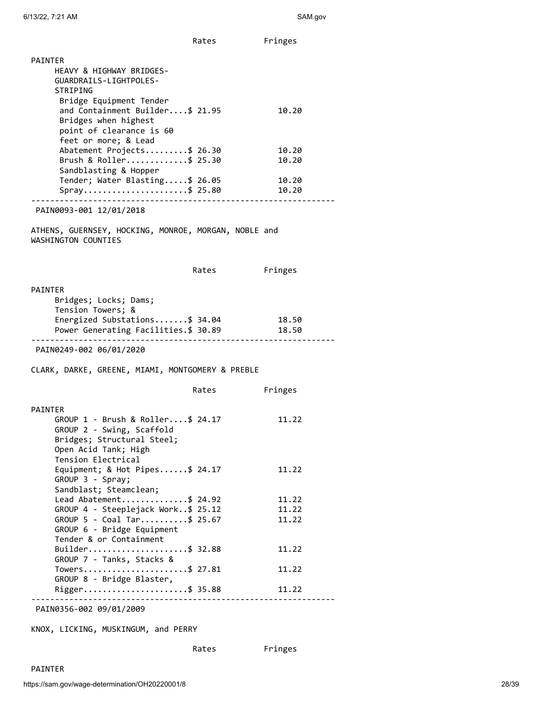|                                                                                                                                        | Rates | Fringes                     |
|----------------------------------------------------------------------------------------------------------------------------------------|-------|-----------------------------|
| <b>PAINTER</b>                                                                                                                         |       |                             |
| HEAVY & HIGHWAY BRIDGES-<br>GUARDRAILS-LIGHTPOLES-<br>STRIPING                                                                         |       |                             |
| Bridge Equipment Tender<br>and Containment Builder\$ 21.95<br>Bridges when highest<br>point of clearance is 60<br>feet or more; & Lead |       | 10.20                       |
| Abatement Projects\$ 26.30<br>Brush & Roller\$ 25.30                                                                                   |       | 10.20<br>10.20              |
| Sandblasting & Hopper<br>Tender; Water Blasting\$ 26.05<br>Spray\$ 25.80                                                               |       | 10.20<br>10.20              |
|                                                                                                                                        |       |                             |
| PAIN0093-001 12/01/2018                                                                                                                |       |                             |
| ATHENS, GUERNSEY, HOCKING, MONROE, MORGAN, NOBLE and<br>WASHINGTON COUNTIES                                                            |       |                             |
|                                                                                                                                        | Rates | Fringes                     |
| PAINTER<br>Bridges; Locks; Dams;<br>Tension Towers; &                                                                                  |       |                             |
| Energized Substations\$ 34.04<br>Power Generating Facilities.\$ 30.89                                                                  |       | 18.50<br>18.50              |
| PAIN0249-002 06/01/2020                                                                                                                |       | --------------------------- |
| CLARK, DARKE, GREENE, MIAMI, MONTGOMERY & PREBLE                                                                                       |       |                             |
|                                                                                                                                        | Rates | Fringes                     |
| PAINTER<br>GROUP $1$ - Brush & Roller\$ 24.17<br>GROUP 2 - Swing, Scaffold<br>Bridges; Structural Steel;<br>Open Acid Tank; High       |       | 11.22                       |
| Tension Electrical<br>Equipment; & Hot Pipes\$ 24.17<br>GROUP 3 - Spray;                                                               |       | 11.22                       |
| Sandblast; Steamclean;<br>Lead Abatement\$ 24.92                                                                                       |       | 11.22                       |
| GROUP 4 - Steeplejack Work\$ 25.12                                                                                                     |       | 11.22                       |
| GROUP 5 - Coal Tar\$ 25.67<br>GROUP 6 - Bridge Equipment<br>Tender & or Containment                                                    |       | 11.22                       |
| Builder\$ 32.88<br>GROUP 7 - Tanks, Stacks &                                                                                           |       | 11.22                       |
| Towers\$ 27.81<br>GROUP 8 - Bridge Blaster,                                                                                            |       | 11.22                       |
| Rigger\$ 35.88                                                                                                                         |       | 11.22                       |
| PAIN0356-002 09/01/2009                                                                                                                |       |                             |

KNOX, LICKING, MUSKINGUM, and PERRY

Rates Fringes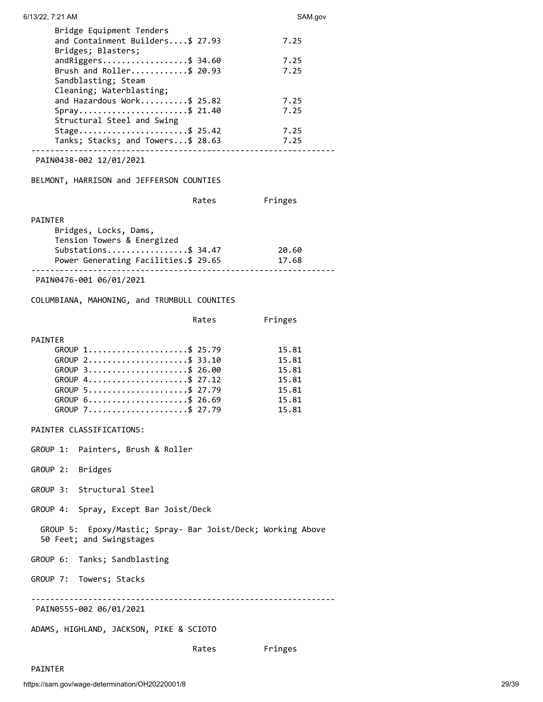| 6/13/22, 7:21 AM                                                                                                                                    | SAM.gov                                                     |
|-----------------------------------------------------------------------------------------------------------------------------------------------------|-------------------------------------------------------------|
| Bridge Equipment Tenders<br>and Containment Builders\$ 27.93<br>Bridges; Blasters;                                                                  | 7.25                                                        |
| $and Riggers$ \$ 34.60<br>Brush and Roller\$ 20.93<br>Sandblasting; Steam                                                                           | 7.25<br>7.25                                                |
| Cleaning; Waterblasting;<br>and Hazardous Work\$ 25.82<br>Spray\$ 21.40<br>Structural Steel and Swing                                               | 7.25<br>7.25                                                |
| Stage\$ 25.42<br>Tanks; Stacks; and Towers\$ 28.63                                                                                                  | 7.25<br>7.25                                                |
| PAIN0438-002 12/01/2021                                                                                                                             |                                                             |
| BELMONT, HARRISON and JEFFERSON COUNTIES                                                                                                            |                                                             |
| Rates                                                                                                                                               | Fringes                                                     |
| <b>PAINTER</b><br>Bridges, Locks, Dams,<br>Tension Towers & Energized<br>Substations\$ 34.47                                                        | 20.60                                                       |
| Power Generating Facilities.\$ 29.65                                                                                                                | 17.68                                                       |
| PAIN0476-001 06/01/2021                                                                                                                             |                                                             |
| COLUMBIANA, MAHONING, and TRUMBULL COUNITES                                                                                                         |                                                             |
| Rates                                                                                                                                               | Fringes                                                     |
| <b>PAINTER</b><br>GROUP 1\$ 25.79<br>GROUP 2\$ 33.10<br>GROUP 3\$ 26.00<br>GROUP 4\$ 27.12<br>GROUP 5\$ 27.79<br>GROUP 6\$ 26.69<br>GROUP 7\$ 27.79 | 15.81<br>15.81<br>15.81<br>15.81<br>15.81<br>15.81<br>15.81 |
| PAINTER CLASSIFICATIONS:                                                                                                                            |                                                             |
| GROUP 1: Painters, Brush & Roller                                                                                                                   |                                                             |
| GROUP 2: Bridges                                                                                                                                    |                                                             |
| GROUP 3: Structural Steel                                                                                                                           |                                                             |
| GROUP 4: Spray, Except Bar Joist/Deck                                                                                                               |                                                             |
| GROUP 5: Epoxy/Mastic; Spray- Bar Joist/Deck; Working Above<br>50 Feet; and Swingstages                                                             |                                                             |
| GROUP 6: Tanks; Sandblasting                                                                                                                        |                                                             |
| GROUP 7: Towers; Stacks                                                                                                                             |                                                             |
| PAIN0555-002 06/01/2021                                                                                                                             |                                                             |
| ADAMS, HIGHLAND, JACKSON, PIKE & SCIOTO                                                                                                             |                                                             |
| Rates                                                                                                                                               | Fringes                                                     |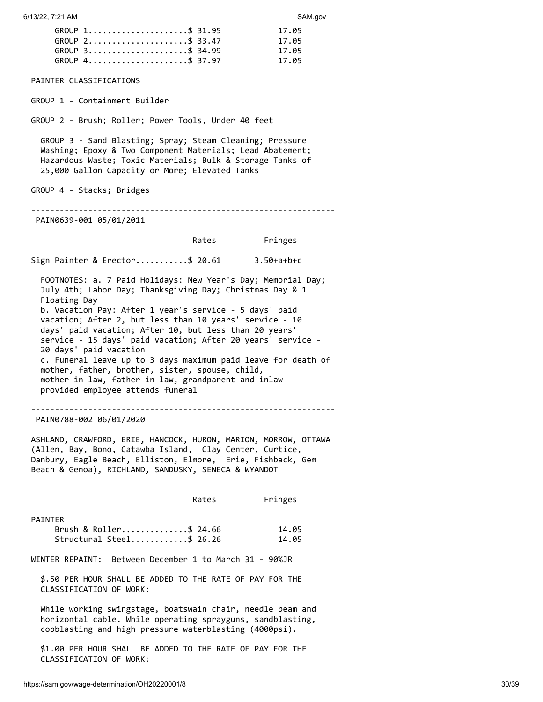| GROUP 1\$ 31.95 | 17.05 |
|-----------------|-------|
| GROUP 2\$ 33.47 | 17.05 |
| GROUP 3\$ 34.99 | 17.05 |
| GROUP 4\$ 37.97 | 17.05 |

PAINTER CLASSIFICATIONS

GROUP 1 - Containment Builder

GROUP 2 - Brush; Roller; Power Tools, Under 40 feet

 GROUP 3 - Sand Blasting; Spray; Steam Cleaning; Pressure Washing; Epoxy & Two Component Materials; Lead Abatement; Hazardous Waste; Toxic Materials; Bulk & Storage Tanks of 25,000 Gallon Capacity or More; Elevated Tanks

GROUP 4 - Stacks; Bridges

----------------------------------------------------------------

PAIN0639-001 05/01/2011

Rates Fringes

Sign Painter & Erector...........\$ 20.61 3.50+a+b+c

 FOOTNOTES: a. 7 Paid Holidays: New Year's Day; Memorial Day; July 4th; Labor Day; Thanksgiving Day; Christmas Day & 1 Floating Day b. Vacation Pay: After 1 year's service - 5 days' paid vacation; After 2, but less than 10 years' service - 10 days' paid vacation; After 10, but less than 20 years' service - 15 days' paid vacation; After 20 years' service - 20 days' paid vacation c. Funeral leave up to 3 days maximum paid leave for death of mother, father, brother, sister, spouse, child, mother-in-law, father-in-law, grandparent and inlaw provided employee attends funeral

----------------------------------------------------------------

PAIN0788-002 06/01/2020

ASHLAND, CRAWFORD, ERIE, HANCOCK, HURON, MARION, MORROW, OTTAWA (Allen, Bay, Bono, Catawba Island, Clay Center, Curtice, Danbury, Eagle Beach, Elliston, Elmore, Erie, Fishback, Gem Beach & Genoa), RICHLAND, SANDUSKY, SENECA & WYANDOT

Rates Fringes

| PAINTER                     |       |
|-----------------------------|-------|
| Brush & Roller\$ 24.66      | 14.05 |
| $Structural Steel$ \$ 26.26 | 14.05 |

WINTER REPAINT: Between December 1 to March 31 - 90%JR

 \$.50 PER HOUR SHALL BE ADDED TO THE RATE OF PAY FOR THE CLASSIFICATION OF WORK:

 While working swingstage, boatswain chair, needle beam and horizontal cable. While operating sprayguns, sandblasting, cobblasting and high pressure waterblasting (4000psi).

 \$1.00 PER HOUR SHALL BE ADDED TO THE RATE OF PAY FOR THE CLASSIFICATION OF WORK: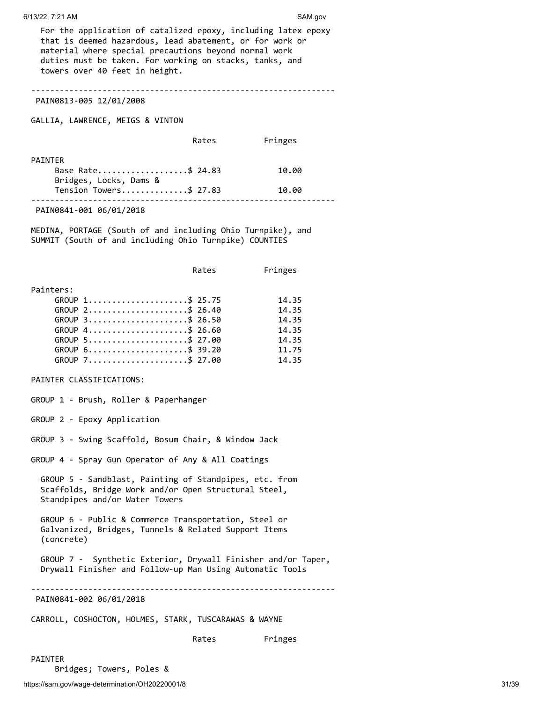For the application of catalized epoxy, including latex epoxy that is deemed hazardous, lead abatement, or for work or material where special precautions beyond normal work duties must be taken. For working on stacks, tanks, and towers over 40 feet in height.

----------------------------------------------------------------

PAIN0813-005 12/01/2008

GALLIA, LAWRENCE, MEIGS & VINTON

Rates Fringes

| <b>PATNTFR</b>         |       |
|------------------------|-------|
| Base Rate\$ 24.83      | 10.00 |
| Bridges, Locks, Dams & |       |
| Tension Towers\$ 27.83 | 10.00 |
|                        |       |
|                        |       |

PAIN0841-001 06/01/2018

MEDINA, PORTAGE (South of and including Ohio Turnpike), and SUMMIT (South of and including Ohio Turnpike) COUNTIES

|           | Rates           | Fringes |
|-----------|-----------------|---------|
| Painters: |                 |         |
|           | GROUP 1\$ 25.75 | 14.35   |
|           | GROUP 2\$ 26.40 | 14.35   |
|           | GROUP 3\$ 26.50 | 14.35   |
|           | GROUP 4\$ 26.60 | 14.35   |
|           | GROUP 5\$ 27.00 | 14.35   |
|           | GROUP 6\$ 39.20 | 11.75   |
|           | GROUP 7\$ 27.00 | 14.35   |

PAINTER CLASSIFICATIONS:

GROUP 1 - Brush, Roller & Paperhanger

GROUP 2 - Epoxy Application

GROUP 3 - Swing Scaffold, Bosum Chair, & Window Jack

GROUP 4 - Spray Gun Operator of Any & All Coatings

 GROUP 5 - Sandblast, Painting of Standpipes, etc. from Scaffolds, Bridge Work and/or Open Structural Steel, Standpipes and/or Water Towers

 GROUP 6 - Public & Commerce Transportation, Steel or Galvanized, Bridges, Tunnels & Related Support Items (concrete)

 GROUP 7 - Synthetic Exterior, Drywall Finisher and/or Taper, Drywall Finisher and Follow-up Man Using Automatic Tools

----------------------------------------------------------------

PAIN0841-002 06/01/2018

CARROLL, COSHOCTON, HOLMES, STARK, TUSCARAWAS & WAYNE

Rates Fringes

PAINTER

Bridges; Towers, Poles &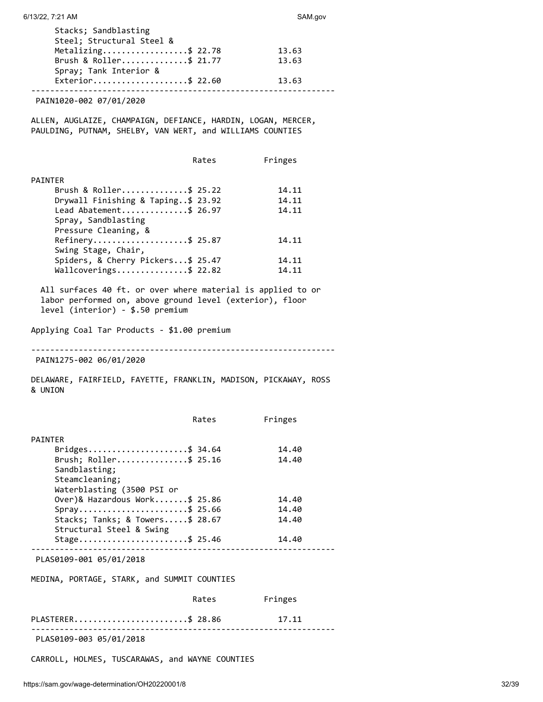| Stacks; Sandblasting<br>Steel; Structural Steel & |       |
|---------------------------------------------------|-------|
| Metalizing\$ 22.78                                | 13.63 |
| Brush & Roller\$ 21.77                            | 13.63 |
| Spray; Tank Interior &                            |       |
| Exterior\$ 22.60                                  | 13.63 |

PAIN1020-002 07/01/2020

ALLEN, AUGLAIZE, CHAMPAIGN, DEFIANCE, HARDIN, LOGAN, MERCER, PAULDING, PUTNAM, SHELBY, VAN WERT, and WILLIAMS COUNTIES

|                                                             | Rates | Fringes |
|-------------------------------------------------------------|-------|---------|
| PAINTER                                                     |       |         |
| Brush & Roller\$ 25.22                                      |       | 14.11   |
| Drywall Finishing & Taping\$ 23.92                          |       | 14.11   |
| Lead Abatement\$ 26.97                                      |       | 14.11   |
| Spray, Sandblasting                                         |       |         |
| Pressure Cleaning, &                                        |       |         |
| Refinery\$ 25.87                                            |       | 14.11   |
| Swing Stage, Chair,                                         |       |         |
| Spiders, & Cherry Pickers\$ 25.47                           |       | 14.11   |
| Wallcoverings\$ 22.82                                       |       | 14.11   |
|                                                             |       |         |
| All surfaces 40 ft. or over where material is applied to or |       |         |
|                                                             |       |         |

 labor performed on, above ground level (exterior), floor level (interior) - \$.50 premium

Applying Coal Tar Products - \$1.00 premium

----------------------------------------------------------------

PAIN1275-002 06/01/2020

DELAWARE, FAIRFIELD, FAYETTE, FRANKLIN, MADISON, PICKAWAY, ROSS & UNION

|                                             | Rates | Fringes |  |
|---------------------------------------------|-------|---------|--|
| <b>PATNTFR</b>                              |       |         |  |
| Bridges\$ 34.64                             |       | 14.40   |  |
| Brush; Roller\$ 25.16                       |       | 14.40   |  |
| Sandblasting;                               |       |         |  |
| Steamcleaning;                              |       |         |  |
| Waterblasting (3500 PSI or                  |       |         |  |
| Over)& Hazardous Work\$ 25.86               |       | 14.40   |  |
| Spray\$ 25.66                               |       | 14.40   |  |
| Stacks; Tanks; & Towers\$ 28.67             |       | 14.40   |  |
| Structural Steel & Swing                    |       |         |  |
| Stage\$ 25.46                               |       | 14.40   |  |
| PLAS0109-001 05/01/2018                     |       |         |  |
| MEDINA, PORTAGE, STARK, and SUMMIT COUNTIES |       |         |  |
|                                             | Rates | Fringes |  |

| PLASTERER\$ 28.86        | 17.11 |
|--------------------------|-------|
|                          |       |
| PI ASA1A9-AA3 A5/A1/2A18 |       |

PLAS0109-003 05/01/2018

CARROLL, HOLMES, TUSCARAWAS, and WAYNE COUNTIES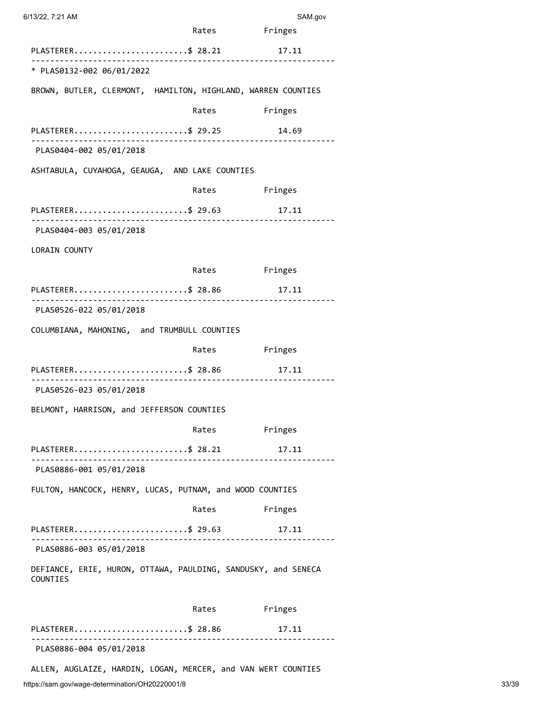| 6/13/22, 7:21 AM                                                          |       | SAM.gov       |
|---------------------------------------------------------------------------|-------|---------------|
|                                                                           | Rates | Fringes       |
| PLASTERER\$ 28.21                                                         |       | 17.11         |
| * PLAS0132-002 06/01/2022                                                 |       |               |
| BROWN, BUTLER, CLERMONT, HAMILTON, HIGHLAND, WARREN COUNTIES              |       |               |
|                                                                           | Rates | Fringes       |
| PLASTERER\$ 29.25                                                         |       | 14.69<br>.    |
| PLAS0404-002 05/01/2018                                                   |       |               |
| ASHTABULA, CUYAHOGA, GEAUGA, AND LAKE COUNTIES                            |       |               |
|                                                                           |       | Rates Fringes |
| PLASTERER\$ 29.63                                                         |       | 17.11         |
| PLAS0404-003 05/01/2018                                                   |       |               |
| <b>LORAIN COUNTY</b>                                                      |       |               |
|                                                                           | Rates | Fringes       |
| PLASTERER\$ 28.86<br>.                                                    |       | 17.11<br>.    |
| PLAS0526-022 05/01/2018                                                   |       |               |
| COLUMBIANA, MAHONING, and TRUMBULL COUNTIES                               |       |               |
|                                                                           |       | Rates Fringes |
| PLASTERER\$ 28.86                                                         |       | 17.11         |
| PLAS0526-023 05/01/2018                                                   |       |               |
| BELMONT, HARRISON, and JEFFERSON COUNTIES                                 |       |               |
|                                                                           | Rates | Fringes       |
| PLASTERER\$ 28.21                                                         |       | 17.11         |
| PLAS0886-001 05/01/2018                                                   |       |               |
| FULTON, HANCOCK, HENRY, LUCAS, PUTNAM, and WOOD COUNTIES                  |       |               |
|                                                                           | Rates | Fringes       |
| PLASTERER\$ 29.63                                                         |       | 17.11         |
| PLAS0886-003 05/01/2018                                                   |       |               |
| DEFIANCE, ERIE, HURON, OTTAWA, PAULDING, SANDUSKY, and SENECA<br>COUNTIES |       |               |
|                                                                           | Rates | Fringes       |
|                                                                           |       |               |

ALLEN, AUGLAIZE, HARDIN, LOGAN, MERCER, and VAN WERT COUNTIES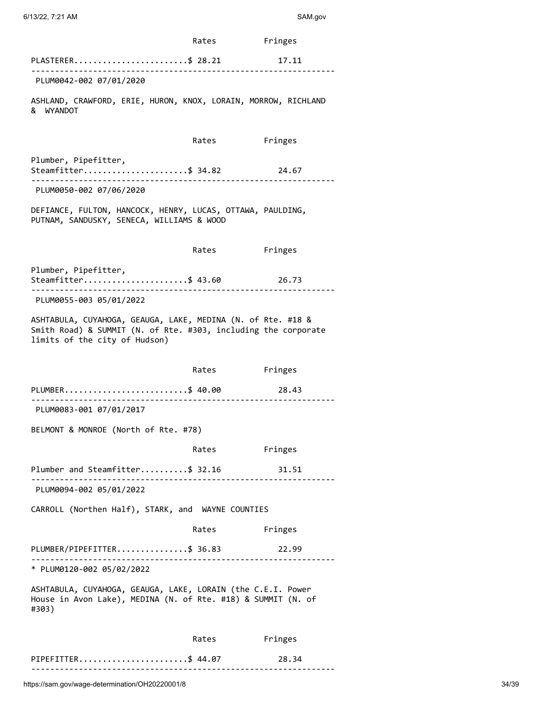|                                                                                                                                                                | Rates | Fringes |  |  |
|----------------------------------------------------------------------------------------------------------------------------------------------------------------|-------|---------|--|--|
| PLASTERER\$ 28.21<br>_____________________________                                                                                                             |       | 17.11   |  |  |
| PLUM0042-002 07/01/2020                                                                                                                                        |       |         |  |  |
| ASHLAND, CRAWFORD, ERIE, HURON, KNOX, LORAIN, MORROW, RICHLAND<br>& WYANDOT                                                                                    |       |         |  |  |
|                                                                                                                                                                | Rates | Fringes |  |  |
| Plumber, Pipefitter,<br>Steamfitter\$ 34.82                                                                                                                    |       | 24.67   |  |  |
| PLUM0050-002 07/06/2020                                                                                                                                        |       |         |  |  |
| DEFIANCE, FULTON, HANCOCK, HENRY, LUCAS, OTTAWA, PAULDING,<br>PUTNAM, SANDUSKY, SENECA, WILLIAMS & WOOD                                                        |       |         |  |  |
|                                                                                                                                                                | Rates | Fringes |  |  |
| Plumber, Pipefitter,<br>Steamfitter\$ 43.60                                                                                                                    |       | 26.73   |  |  |
| PLUM0055-003 05/01/2022                                                                                                                                        |       |         |  |  |
| ASHTABULA, CUYAHOGA, GEAUGA, LAKE, MEDINA (N. of Rte. #18 &<br>Smith Road) & SUMMIT (N. of Rte. #303, including the corporate<br>limits of the city of Hudson) |       |         |  |  |
|                                                                                                                                                                |       |         |  |  |
|                                                                                                                                                                | Rates | Fringes |  |  |
| PLUMBER\$ 40.00                                                                                                                                                |       | 28.43   |  |  |
| PLUM0083-001 07/01/2017                                                                                                                                        |       |         |  |  |
| BELMONT & MONROE (North of Rte. #78)                                                                                                                           |       |         |  |  |
|                                                                                                                                                                | Rates | Fringes |  |  |
| Plumber and Steamfitter\$ 32.16<br>PLUM0094-002 05/01/2022                                                                                                     |       | 31.51   |  |  |
| CARROLL (Northen Half), STARK, and WAYNE COUNTIES                                                                                                              |       |         |  |  |
|                                                                                                                                                                | Rates | Fringes |  |  |
| PLUMBER/PIPEFITTER\$ 36.83                                                                                                                                     |       | 22.99   |  |  |
| -------------------------------------<br>* PLUM0120-002 05/02/2022                                                                                             |       |         |  |  |
| ASHTABULA, CUYAHOGA, GEAUGA, LAKE, LORAIN (the C.E.I. Power<br>House in Avon Lake), MEDINA (N. of Rte. #18) & SUMMIT (N. of<br>#303)                           |       |         |  |  |
|                                                                                                                                                                | Rates | Fringes |  |  |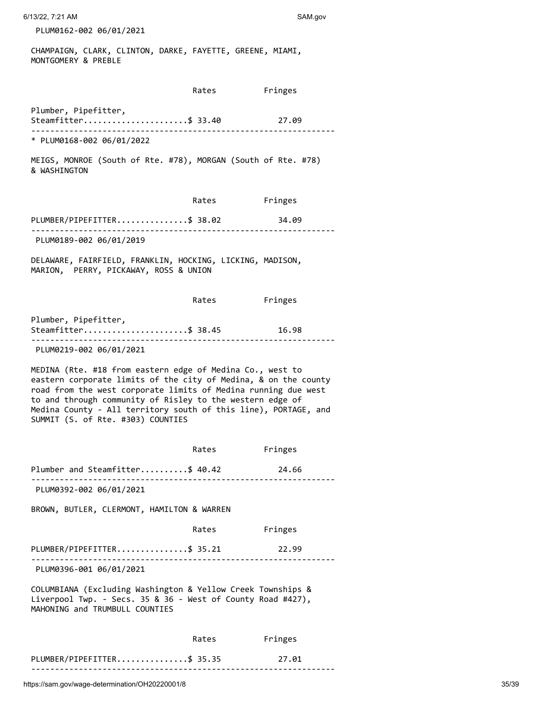6/13/22, 7:21 AM SAM.gov

PLUM0162-002 06/01/2021

CHAMPAIGN, CLARK, CLINTON, DARKE, FAYETTE, GREENE, MIAMI, MONTGOMERY & PREBLE

|                                                                                                                                                                                                                                                                                                                                                                     | Rates | Fringes |  |  |
|---------------------------------------------------------------------------------------------------------------------------------------------------------------------------------------------------------------------------------------------------------------------------------------------------------------------------------------------------------------------|-------|---------|--|--|
| Plumber, Pipefitter,<br>Steamfitter\$ 33.40 27.09<br>_______________________________                                                                                                                                                                                                                                                                                |       |         |  |  |
| * PLUM0168-002 06/01/2022                                                                                                                                                                                                                                                                                                                                           |       |         |  |  |
| MEIGS, MONROE (South of Rte. #78), MORGAN (South of Rte. #78)<br>& WASHINGTON                                                                                                                                                                                                                                                                                       |       |         |  |  |
|                                                                                                                                                                                                                                                                                                                                                                     | Rates | Fringes |  |  |
| PLUMBER/PIPEFITTER\$ 38.02                                                                                                                                                                                                                                                                                                                                          |       | 34.09   |  |  |
| PLUM0189-002 06/01/2019                                                                                                                                                                                                                                                                                                                                             |       |         |  |  |
| DELAWARE, FAIRFIELD, FRANKLIN, HOCKING, LICKING, MADISON,<br>MARION, PERRY, PICKAWAY, ROSS & UNION                                                                                                                                                                                                                                                                  |       |         |  |  |
|                                                                                                                                                                                                                                                                                                                                                                     | Rates | Fringes |  |  |
| Plumber, Pipefitter,<br>Steamfitter\$ 38.45                                                                                                                                                                                                                                                                                                                         |       | 16.98   |  |  |
| PLUM0219-002 06/01/2021                                                                                                                                                                                                                                                                                                                                             |       |         |  |  |
| MEDINA (Rte. #18 from eastern edge of Medina Co., west to<br>eastern corporate limits of the city of Medina, & on the county<br>road from the west corporate limits of Medina running due west<br>to and through community of Risley to the western edge of<br>Medina County - All territory south of this line), PORTAGE, and<br>SUMMIT (S. of Rte. #303) COUNTIES |       |         |  |  |
|                                                                                                                                                                                                                                                                                                                                                                     | Rates | Fringes |  |  |
| Plumber and Steamfitter\$ 40.42                                                                                                                                                                                                                                                                                                                                     |       | 24.66   |  |  |
| PLUM0392-002 06/01/2021                                                                                                                                                                                                                                                                                                                                             |       |         |  |  |
| BROWN, BUTLER, CLERMONT, HAMILTON & WARREN                                                                                                                                                                                                                                                                                                                          |       |         |  |  |
|                                                                                                                                                                                                                                                                                                                                                                     | Rates | Fringes |  |  |
| PLUMBER/PIPEFITTER\$ 35.21<br><u>.</u>                                                                                                                                                                                                                                                                                                                              |       | 22.99   |  |  |
| PLUM0396-001 06/01/2021                                                                                                                                                                                                                                                                                                                                             |       |         |  |  |
| COLUMBIANA (Excluding Washington & Yellow Creek Townships &<br>Liverpool Twp. - Secs. 35 & 36 - West of County Road #427),<br>MAHONING and TRUMBULL COUNTIES                                                                                                                                                                                                        |       |         |  |  |
|                                                                                                                                                                                                                                                                                                                                                                     | Rates | Fringes |  |  |
| PLUMBER/PIPEFITTER\$ 35.35<br>.                                                                                                                                                                                                                                                                                                                                     |       | 27.01   |  |  |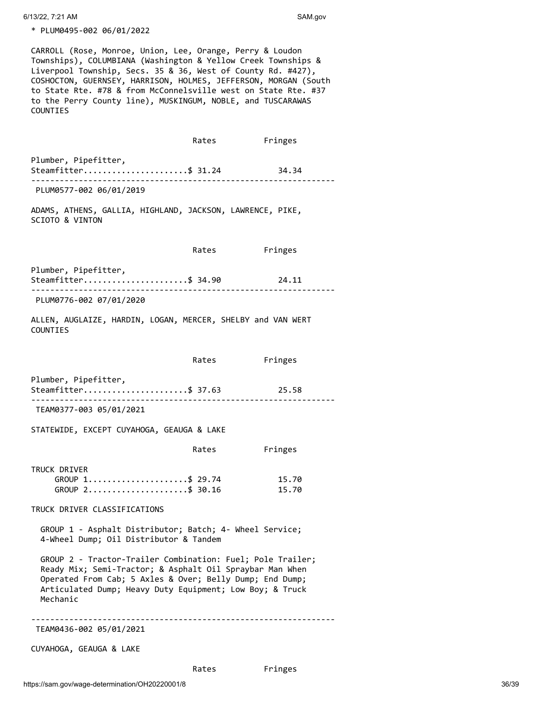6/13/22, 7:21 AM SAM.gov

\* PLUM0495-002 06/01/2022

CARROLL (Rose, Monroe, Union, Lee, Orange, Perry & Loudon Townships), COLUMBIANA (Washington & Yellow Creek Townships & Liverpool Township, Secs. 35 & 36, West of County Rd. #427), COSHOCTON, GUERNSEY, HARRISON, HOLMES, JEFFERSON, MORGAN (South to State Rte. #78 & from McConnelsville west on State Rte. #37 to the Perry County line), MUSKINGUM, NOBLE, and TUSCARAWAS COUNTIES

 Rates Fringes Plumber, Pipefitter, Steamfitter.......................\$ 31.24 34.34 ---------------------------------------------------------------- PLUM0577-002 06/01/2019 ADAMS, ATHENS, GALLIA, HIGHLAND, JACKSON, LAWRENCE, PIKE, SCIOTO & VINTON Rates Fringes Plumber, Pipefitter, Steamfitter.......................\$ 34.90 24.11 ---------------------------------------------------------------- PLUM0776-002 07/01/2020 ALLEN, AUGLAIZE, HARDIN, LOGAN, MERCER, SHELBY and VAN WERT COUNTIES Rates Fringes Plumber, Pipefitter, Steamfitter......................\$ 37.63 25.58 ---------------------------------------------------------------- TEAM0377-003 05/01/2021 STATEWIDE, EXCEPT CUYAHOGA, GEAUGA & LAKE Rates Fringes TRUCK DRIVER GROUP 1......................\$ 29.74 15.70 GROUP 2......................\$ 30.16 15.70 TRUCK DRIVER CLASSIFICATIONS GROUP 1 - Asphalt Distributor; Batch; 4- Wheel Service; 4-Wheel Dump; Oil Distributor & Tandem GROUP 2 - Tractor-Trailer Combination: Fuel; Pole Trailer; Ready Mix; Semi-Tractor; & Asphalt Oil Spraybar Man When Operated From Cab; 5 Axles & Over; Belly Dump; End Dump; Articulated Dump; Heavy Duty Equipment; Low Boy; & Truck Mechanic ---------------------------------------------------------------- TEAM0436-002 05/01/2021

CUYAHOGA, GEAUGA & LAKE

Rates Fringes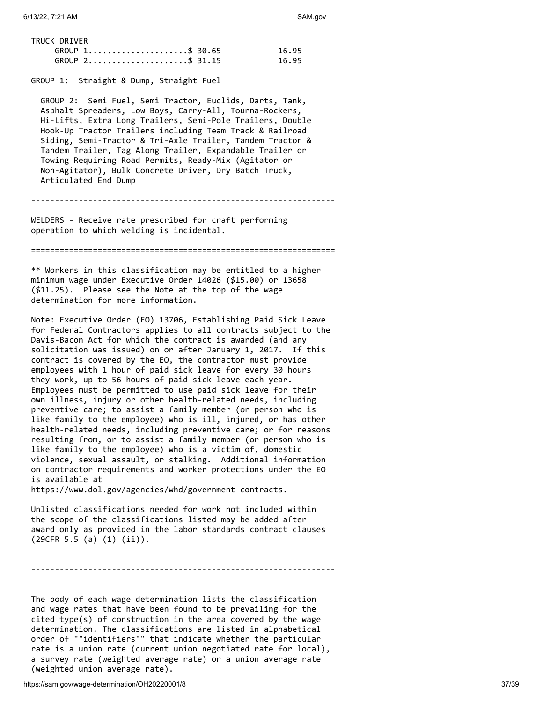| TRUCK DRIVER |                   |       |
|--------------|-------------------|-------|
|              | GROUP 1\$ 30.65   | 16.95 |
|              | $GROUP$ 2\$ 31.15 | 16.95 |

## GROUP 1: Straight & Dump, Straight Fuel

 GROUP 2: Semi Fuel, Semi Tractor, Euclids, Darts, Tank, Asphalt Spreaders, Low Boys, Carry-All, Tourna-Rockers, Hi-Lifts, Extra Long Trailers, Semi-Pole Trailers, Double Hook-Up Tractor Trailers including Team Track & Railroad Siding, Semi-Tractor & Tri-Axle Trailer, Tandem Tractor & Tandem Trailer, Tag Along Trailer, Expandable Trailer or Towing Requiring Road Permits, Ready-Mix (Agitator or Non-Agitator), Bulk Concrete Driver, Dry Batch Truck, Articulated End Dump

----------------------------------------------------------------

WELDERS - Receive rate prescribed for craft performing operation to which welding is incidental.

================================================================

\*\* Workers in this classification may be entitled to a higher minimum wage under Executive Order 14026 (\$15.00) or 13658 (\$11.25). Please see the Note at the top of the wage determination for more information.

Note: Executive Order (EO) 13706, Establishing Paid Sick Leave for Federal Contractors applies to all contracts subject to the Davis-Bacon Act for which the contract is awarded (and any solicitation was issued) on or after January 1, 2017. If this contract is covered by the EO, the contractor must provide employees with 1 hour of paid sick leave for every 30 hours they work, up to 56 hours of paid sick leave each year. Employees must be permitted to use paid sick leave for their own illness, injury or other health-related needs, including preventive care; to assist a family member (or person who is like family to the employee) who is ill, injured, or has other health-related needs, including preventive care; or for reasons resulting from, or to assist a family member (or person who is like family to the employee) who is a victim of, domestic violence, sexual assault, or stalking. Additional information on contractor requirements and worker protections under the EO is available at

https://www.dol.gov/agencies/whd/government-contracts.

Unlisted classifications needed for work not included within the scope of the classifications listed may be added after award only as provided in the labor standards contract clauses (29CFR 5.5 (a) (1) (ii)).

----------------------------------------------------------------

The body of each wage determination lists the classification and wage rates that have been found to be prevailing for the cited type(s) of construction in the area covered by the wage determination. The classifications are listed in alphabetical order of ""identifiers"" that indicate whether the particular rate is a union rate (current union negotiated rate for local), a survey rate (weighted average rate) or a union average rate (weighted union average rate).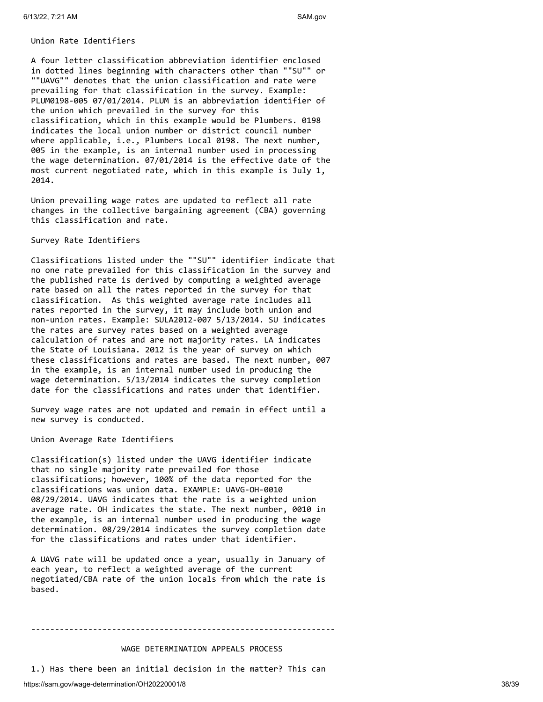#### Union Rate Identifiers

A four letter classification abbreviation identifier enclosed in dotted lines beginning with characters other than ""SU"" or ""UAVG"" denotes that the union classification and rate were prevailing for that classification in the survey. Example: PLUM0198-005 07/01/2014. PLUM is an abbreviation identifier of the union which prevailed in the survey for this classification, which in this example would be Plumbers. 0198 indicates the local union number or district council number where applicable, i.e., Plumbers Local 0198. The next number, 005 in the example, is an internal number used in processing the wage determination. 07/01/2014 is the effective date of the most current negotiated rate, which in this example is July 1, 2014.

Union prevailing wage rates are updated to reflect all rate changes in the collective bargaining agreement (CBA) governing this classification and rate.

#### Survey Rate Identifiers

Classifications listed under the ""SU"" identifier indicate that no one rate prevailed for this classification in the survey and the published rate is derived by computing a weighted average rate based on all the rates reported in the survey for that classification. As this weighted average rate includes all rates reported in the survey, it may include both union and non-union rates. Example: SULA2012-007 5/13/2014. SU indicates the rates are survey rates based on a weighted average calculation of rates and are not majority rates. LA indicates the State of Louisiana. 2012 is the year of survey on which these classifications and rates are based. The next number, 007 in the example, is an internal number used in producing the wage determination. 5/13/2014 indicates the survey completion date for the classifications and rates under that identifier.

Survey wage rates are not updated and remain in effect until a new survey is conducted.

#### Union Average Rate Identifiers

Classification(s) listed under the UAVG identifier indicate that no single majority rate prevailed for those classifications; however, 100% of the data reported for the classifications was union data. EXAMPLE: UAVG-OH-0010 08/29/2014. UAVG indicates that the rate is a weighted union average rate. OH indicates the state. The next number, 0010 in the example, is an internal number used in producing the wage determination. 08/29/2014 indicates the survey completion date for the classifications and rates under that identifier.

A UAVG rate will be updated once a year, usually in January of each year, to reflect a weighted average of the current negotiated/CBA rate of the union locals from which the rate is based.

#### WAGE DETERMINATION APPEALS PROCESS

----------------------------------------------------------------

1.) Has there been an initial decision in the matter? This can